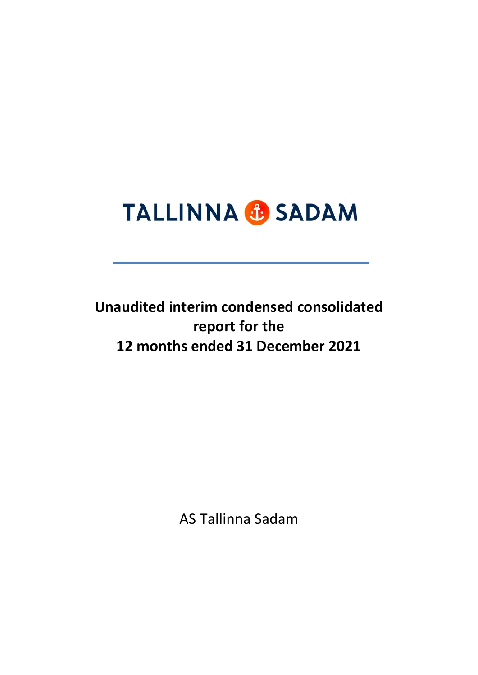# **TALLINNA & SADAM**

**Unaudited interim condensed consolidated report for the 12 months ended 31 December 2021**

AS Tallinna Sadam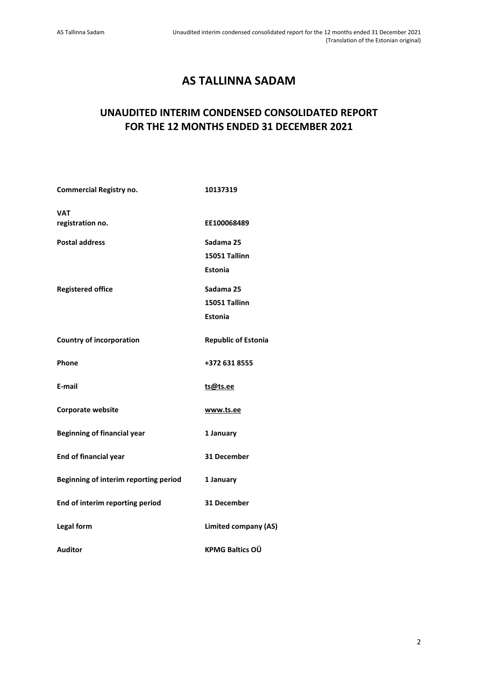# **AS TALLINNA SADAM**

## **UNAUDITED INTERIM CONDENSED CONSOLIDATED REPORT FOR THE 12 MONTHS ENDED 31 DECEMBER 2021**

| <b>Commercial Registry no.</b>        | 10137319                    |
|---------------------------------------|-----------------------------|
| <b>VAT</b><br>registration no.        | EE100068489                 |
| <b>Postal address</b>                 | Sadama 25<br>15051 Tallinn  |
|                                       | Estonia                     |
| <b>Registered office</b>              | Sadama 25<br>15051 Tallinn  |
|                                       | Estonia                     |
| <b>Country of incorporation</b>       | <b>Republic of Estonia</b>  |
| Phone                                 | +372 631 8555               |
| E-mail                                | ts@ts.ee                    |
| <b>Corporate website</b>              | www.ts.ee                   |
| <b>Beginning of financial year</b>    | 1 January                   |
| <b>End of financial year</b>          | 31 December                 |
| Beginning of interim reporting period | 1 January                   |
| End of interim reporting period       | 31 December                 |
| Legal form                            | <b>Limited company (AS)</b> |
| <b>Auditor</b>                        | <b>KPMG Baltics OÜ</b>      |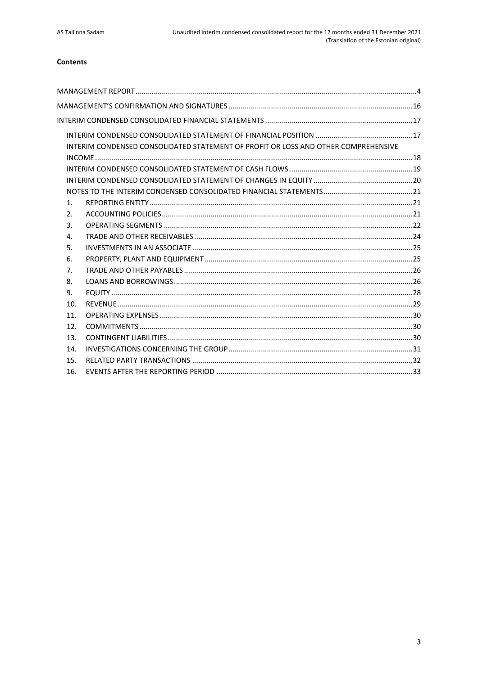## Contents

| INTERIM CONDENSED CONSOLIDATED STATEMENT OF PROFIT OR LOSS AND OTHER COMPREHENSIVE |  |
|------------------------------------------------------------------------------------|--|
|                                                                                    |  |
|                                                                                    |  |
|                                                                                    |  |
|                                                                                    |  |
| 1 <sub>1</sub>                                                                     |  |
| 2.                                                                                 |  |
| 3.                                                                                 |  |
| 4.                                                                                 |  |
| 5.                                                                                 |  |
| 6.                                                                                 |  |
| 7.                                                                                 |  |
| 8.                                                                                 |  |
| 9.                                                                                 |  |
| 10.                                                                                |  |
| 11.                                                                                |  |
| 12.                                                                                |  |
| 13.                                                                                |  |
| 14.                                                                                |  |
| 15.                                                                                |  |
| 16.                                                                                |  |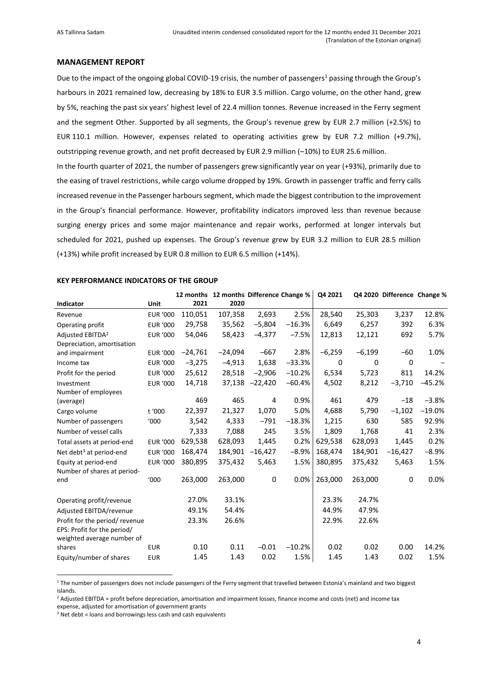#### <span id="page-3-0"></span>**MANAGEMENT REPORT**

Due to the impact of the ongoing global COVID-19 crisis, the number of passengers<sup>1</sup> passing through the Group's harbours in 2021 remained low, decreasing by 18% to EUR 3.5 million. Cargo volume, on the other hand, grew by 5%, reaching the past six years' highest level of 22.4 million tonnes. Revenue increased in the Ferry segment and the segment Other. Supported by all segments, the Group's revenue grew by EUR 2.7 million (+2.5%) to EUR 110.1 million. However, expenses related to operating activities grew by EUR 7.2 million (+9.7%), outstripping revenue growth, and net profit decreased by EUR 2.9 million (–10%) to EUR 25.6 million.

In the fourth quarter of 2021, the number of passengers grew significantly year on year (+93%), primarily due to the easing of travel restrictions, while cargo volume dropped by 19%. Growth in passenger traffic and ferry calls increased revenue in the Passenger harbours segment, which made the biggest contribution to the improvement in the Group's financial performance. However, profitability indicators improved less than revenue because surging energy prices and some major maintenance and repair works, performed at longer intervals but scheduled for 2021, pushed up expenses. The Group's revenue grew by EUR 3.2 million to EUR 28.5 million (+13%) while profit increased by EUR 0.8 million to EUR 6.5 million (+14%).

|                                                           |                 |           | 12 months 12 months Difference Change % |           |          | Q4 2021  |          | Q4 2020 Difference Change % |          |
|-----------------------------------------------------------|-----------------|-----------|-----------------------------------------|-----------|----------|----------|----------|-----------------------------|----------|
| Indicator                                                 | Unit            | 2021      | 2020                                    |           |          |          |          |                             |          |
| Revenue                                                   | <b>EUR '000</b> | 110,051   | 107,358                                 | 2,693     | 2.5%     | 28,540   | 25,303   | 3,237                       | 12.8%    |
| Operating profit                                          | <b>EUR '000</b> | 29,758    | 35,562                                  | $-5,804$  | $-16.3%$ | 6,649    | 6,257    | 392                         | 6.3%     |
| Adjusted EBITDA <sup>2</sup>                              | <b>EUR '000</b> | 54,046    | 58,423                                  | $-4,377$  | $-7.5%$  | 12,813   | 12,121   | 692                         | 5.7%     |
| Depreciation, amortisation                                |                 |           |                                         |           |          |          |          |                             |          |
| and impairment                                            | <b>EUR '000</b> | $-24,761$ | $-24,094$                               | $-667$    | 2.8%     | $-6,259$ | $-6,199$ | $-60$                       | 1.0%     |
| Income tax                                                | <b>EUR '000</b> | $-3,275$  | $-4,913$                                | 1,638     | $-33.3%$ | 0        | 0        | 0                           |          |
| Profit for the period                                     | <b>EUR '000</b> | 25,612    | 28,518                                  | $-2,906$  | $-10.2%$ | 6,534    | 5,723    | 811                         | 14.2%    |
| Investment                                                | <b>EUR '000</b> | 14,718    | 37,138                                  | $-22,420$ | $-60.4%$ | 4,502    | 8,212    | $-3,710$                    | $-45.2%$ |
| Number of employees                                       |                 |           |                                         |           |          |          |          |                             |          |
| (average)                                                 |                 | 469       | 465                                     | 4         | 0.9%     | 461      | 479      | $-18$                       | $-3.8%$  |
| Cargo volume                                              | t '000          | 22,397    | 21,327                                  | 1,070     | 5.0%     | 4,688    | 5,790    | $-1,102$                    | $-19.0%$ |
| Number of passengers                                      | '000            | 3,542     | 4,333                                   | $-791$    | $-18.3%$ | 1,215    | 630      | 585                         | 92.9%    |
| Number of vessel calls                                    |                 | 7,333     | 7,088                                   | 245       | 3.5%     | 1,809    | 1.768    | 41                          | 2.3%     |
| Total assets at period-end                                | <b>EUR '000</b> | 629,538   | 628,093                                 | 1,445     | 0.2%     | 629,538  | 628,093  | 1,445                       | 0.2%     |
| Net debt <sup>3</sup> at period-end                       | <b>EUR '000</b> | 168,474   | 184,901                                 | $-16,427$ | $-8.9%$  | 168,474  | 184,901  | $-16,427$                   | $-8.9%$  |
| Equity at period-end                                      | <b>EUR '000</b> | 380,895   | 375,432                                 | 5,463     | 1.5%     | 380,895  | 375,432  | 5,463                       | 1.5%     |
| Number of shares at period-                               |                 |           |                                         |           |          |          |          |                             |          |
| end                                                       | '000            | 263,000   | 263,000                                 | 0         | 0.0%     | 263,000  | 263,000  | 0                           | 0.0%     |
| Operating profit/revenue                                  |                 | 27.0%     | 33.1%                                   |           |          | 23.3%    | 24.7%    |                             |          |
| Adjusted EBITDA/revenue                                   |                 | 49.1%     | 54.4%                                   |           |          | 44.9%    | 47.9%    |                             |          |
| Profit for the period/revenue                             |                 | 23.3%     | 26.6%                                   |           |          | 22.9%    | 22.6%    |                             |          |
| EPS: Profit for the period/<br>weighted average number of |                 |           |                                         |           |          |          |          |                             |          |
| shares                                                    | <b>EUR</b>      | 0.10      | 0.11                                    | $-0.01$   | $-10.2%$ | 0.02     | 0.02     | 0.00                        | 14.2%    |
| Equity/number of shares                                   | <b>EUR</b>      | 1.45      | 1.43                                    | 0.02      | 1.5%     | 1.45     | 1.43     | 0.02                        | 1.5%     |

<sup>1</sup> The number of passengers does not include passengers of the Ferry segment that travelled between Estonia's mainland and two biggest islands.

<sup>2</sup> Adjusted EBITDA = profit before depreciation, amortisation and impairment losses, finance income and costs (net) and income tax

expense, adjusted for amortisation of government grants

 $3$  Net debt = loans and borrowings less cash and cash equivalents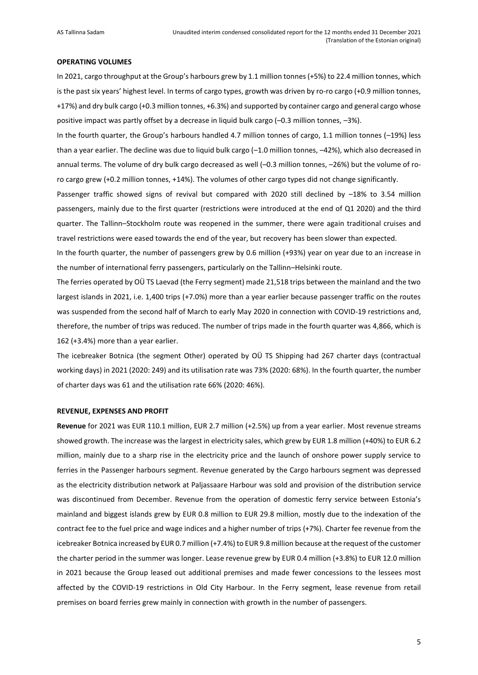#### **OPERATING VOLUMES**

In 2021, cargo throughput at the Group's harbours grew by 1.1 million tonnes (+5%) to 22.4 million tonnes, which is the past six years' highest level. In terms of cargo types, growth was driven by ro-ro cargo (+0.9 million tonnes, +17%) and dry bulk cargo (+0.3 million tonnes, +6.3%) and supported by container cargo and general cargo whose positive impact was partly offset by a decrease in liquid bulk cargo (–0.3 million tonnes, –3%).

In the fourth quarter, the Group's harbours handled 4.7 million tonnes of cargo, 1.1 million tonnes (–19%) less than a year earlier. The decline was due to liquid bulk cargo (–1.0 million tonnes, –42%), which also decreased in annual terms. The volume of dry bulk cargo decreased as well (–0.3 million tonnes, –26%) but the volume of roro cargo grew (+0.2 million tonnes, +14%). The volumes of other cargo types did not change significantly.

Passenger traffic showed signs of revival but compared with 2020 still declined by –18% to 3.54 million passengers, mainly due to the first quarter (restrictions were introduced at the end of Q1 2020) and the third quarter. The Tallinn–Stockholm route was reopened in the summer, there were again traditional cruises and travel restrictions were eased towards the end of the year, but recovery has been slower than expected.

In the fourth quarter, the number of passengers grew by 0.6 million (+93%) year on year due to an increase in the number of international ferry passengers, particularly on the Tallinn–Helsinki route.

The ferries operated by OÜ TS Laevad (the Ferry segment) made 21,518 trips between the mainland and the two largest islands in 2021, i.e. 1,400 trips (+7.0%) more than a year earlier because passenger traffic on the routes was suspended from the second half of March to early May 2020 in connection with COVID-19 restrictions and, therefore, the number of trips was reduced. The number of trips made in the fourth quarter was 4,866, which is 162 (+3.4%) more than a year earlier.

The icebreaker Botnica (the segment Other) operated by OÜ TS Shipping had 267 charter days (contractual working days) in 2021 (2020: 249) and its utilisation rate was 73% (2020: 68%). In the fourth quarter, the number of charter days was 61 and the utilisation rate 66% (2020: 46%).

#### **REVENUE, EXPENSES AND PROFIT**

**Revenue** for 2021 was EUR 110.1 million, EUR 2.7 million (+2.5%) up from a year earlier. Most revenue streams showed growth. The increase was the largest in electricity sales, which grew by EUR 1.8 million (+40%) to EUR 6.2 million, mainly due to a sharp rise in the electricity price and the launch of onshore power supply service to ferries in the Passenger harbours segment. Revenue generated by the Cargo harbours segment was depressed as the electricity distribution network at Paljassaare Harbour was sold and provision of the distribution service was discontinued from December. Revenue from the operation of domestic ferry service between Estonia's mainland and biggest islands grew by EUR 0.8 million to EUR 29.8 million, mostly due to the indexation of the contract fee to the fuel price and wage indices and a higher number of trips (+7%). Charter fee revenue from the icebreaker Botnica increased by EUR 0.7 million (+7.4%) to EUR 9.8 million because at the request of the customer the charter period in the summer was longer. Lease revenue grew by EUR 0.4 million (+3.8%) to EUR 12.0 million in 2021 because the Group leased out additional premises and made fewer concessions to the lessees most affected by the COVID-19 restrictions in Old City Harbour. In the Ferry segment, lease revenue from retail premises on board ferries grew mainly in connection with growth in the number of passengers.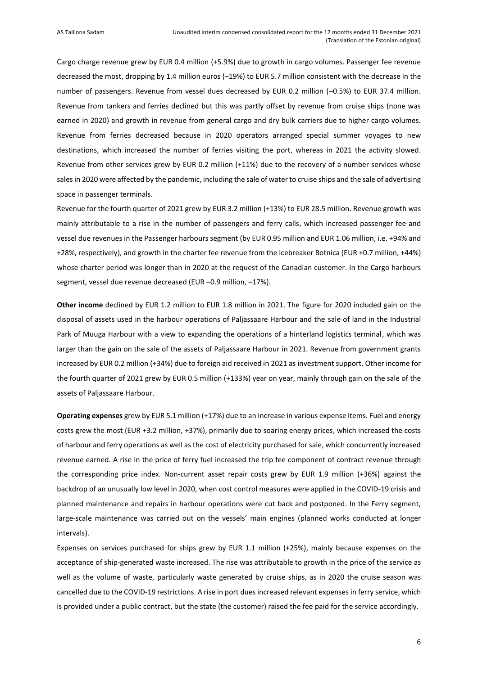Cargo charge revenue grew by EUR 0.4 million (+5.9%) due to growth in cargo volumes. Passenger fee revenue decreased the most, dropping by 1.4 million euros (–19%) to EUR 5.7 million consistent with the decrease in the number of passengers. Revenue from vessel dues decreased by EUR 0.2 million (–0.5%) to EUR 37.4 million. Revenue from tankers and ferries declined but this was partly offset by revenue from cruise ships (none was earned in 2020) and growth in revenue from general cargo and dry bulk carriers due to higher cargo volumes. Revenue from ferries decreased because in 2020 operators arranged special summer voyages to new destinations, which increased the number of ferries visiting the port, whereas in 2021 the activity slowed. Revenue from other services grew by EUR 0.2 million (+11%) due to the recovery of a number services whose sales in 2020 were affected by the pandemic, including the sale of water to cruise ships and the sale of advertising space in passenger terminals.

Revenue for the fourth quarter of 2021 grew by EUR 3.2 million (+13%) to EUR 28.5 million. Revenue growth was mainly attributable to a rise in the number of passengers and ferry calls, which increased passenger fee and vessel due revenues in the Passenger harbours segment (by EUR 0.95 million and EUR 1.06 million, i.e. +94% and +28%, respectively), and growth in the charter fee revenue from the icebreaker Botnica (EUR +0.7 million, +44%) whose charter period was longer than in 2020 at the request of the Canadian customer. In the Cargo harbours segment, vessel due revenue decreased (EUR –0.9 million, –17%).

**Other income** declined by EUR 1.2 million to EUR 1.8 million in 2021. The figure for 2020 included gain on the disposal of assets used in the harbour operations of Paljassaare Harbour and the sale of land in the Industrial Park of Muuga Harbour with a view to expanding the operations of a hinterland logistics terminal, which was larger than the gain on the sale of the assets of Paljassaare Harbour in 2021. Revenue from government grants increased by EUR 0.2 million (+34%) due to foreign aid received in 2021 as investment support. Other income for the fourth quarter of 2021 grew by EUR 0.5 million (+133%) year on year, mainly through gain on the sale of the assets of Paljassaare Harbour.

**Operating expenses** grew by EUR 5.1 million (+17%) due to an increase in various expense items. Fuel and energy costs grew the most (EUR +3.2 million, +37%), primarily due to soaring energy prices, which increased the costs of harbour and ferry operations as well as the cost of electricity purchased for sale, which concurrently increased revenue earned. A rise in the price of ferry fuel increased the trip fee component of contract revenue through the corresponding price index. Non-current asset repair costs grew by EUR 1.9 million (+36%) against the backdrop of an unusually low level in 2020, when cost control measures were applied in the COVID-19 crisis and planned maintenance and repairs in harbour operations were cut back and postponed. In the Ferry segment, large-scale maintenance was carried out on the vessels' main engines (planned works conducted at longer intervals).

Expenses on services purchased for ships grew by EUR 1.1 million (+25%), mainly because expenses on the acceptance of ship-generated waste increased. The rise was attributable to growth in the price of the service as well as the volume of waste, particularly waste generated by cruise ships, as in 2020 the cruise season was cancelled due to the COVID-19 restrictions. A rise in port dues increased relevant expenses in ferry service, which is provided under a public contract, but the state (the customer) raised the fee paid for the service accordingly.

6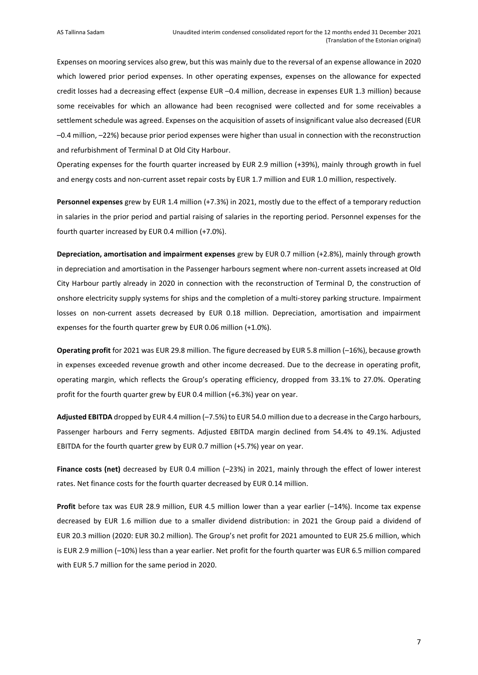Expenses on mooring services also grew, but this was mainly due to the reversal of an expense allowance in 2020 which lowered prior period expenses. In other operating expenses, expenses on the allowance for expected credit losses had a decreasing effect (expense EUR –0.4 million, decrease in expenses EUR 1.3 million) because some receivables for which an allowance had been recognised were collected and for some receivables a settlement schedule was agreed. Expenses on the acquisition of assets of insignificant value also decreased (EUR –0.4 million, –22%) because prior period expenses were higher than usual in connection with the reconstruction and refurbishment of Terminal D at Old City Harbour.

Operating expenses for the fourth quarter increased by EUR 2.9 million (+39%), mainly through growth in fuel and energy costs and non-current asset repair costs by EUR 1.7 million and EUR 1.0 million, respectively.

**Personnel expenses** grew by EUR 1.4 million (+7.3%) in 2021, mostly due to the effect of a temporary reduction in salaries in the prior period and partial raising of salaries in the reporting period. Personnel expenses for the fourth quarter increased by EUR 0.4 million (+7.0%).

**Depreciation, amortisation and impairment expenses** grew by EUR 0.7 million (+2.8%), mainly through growth in depreciation and amortisation in the Passenger harbours segment where non-current assets increased at Old City Harbour partly already in 2020 in connection with the reconstruction of Terminal D, the construction of onshore electricity supply systems for ships and the completion of a multi-storey parking structure. Impairment losses on non-current assets decreased by EUR 0.18 million. Depreciation, amortisation and impairment expenses for the fourth quarter grew by EUR 0.06 million (+1.0%).

**Operating profit** for 2021 was EUR 29.8 million. The figure decreased by EUR 5.8 million (–16%), because growth in expenses exceeded revenue growth and other income decreased. Due to the decrease in operating profit, operating margin, which reflects the Group's operating efficiency, dropped from 33.1% to 27.0%. Operating profit for the fourth quarter grew by EUR 0.4 million (+6.3%) year on year.

Adjusted EBITDA dropped by EUR 4.4 million (-7.5%) to EUR 54.0 million due to a decrease in the Cargo harbours, Passenger harbours and Ferry segments. Adjusted EBITDA margin declined from 54.4% to 49.1%. Adjusted EBITDA for the fourth quarter grew by EUR 0.7 million (+5.7%) year on year.

**Finance costs (net)** decreased by EUR 0.4 million (–23%) in 2021, mainly through the effect of lower interest rates. Net finance costs for the fourth quarter decreased by EUR 0.14 million.

**Profit** before tax was EUR 28.9 million, EUR 4.5 million lower than a year earlier (–14%). Income tax expense decreased by EUR 1.6 million due to a smaller dividend distribution: in 2021 the Group paid a dividend of EUR 20.3 million (2020: EUR 30.2 million). The Group's net profit for 2021 amounted to EUR 25.6 million, which is EUR 2.9 million (–10%) less than a year earlier. Net profit for the fourth quarter was EUR 6.5 million compared with EUR 5.7 million for the same period in 2020.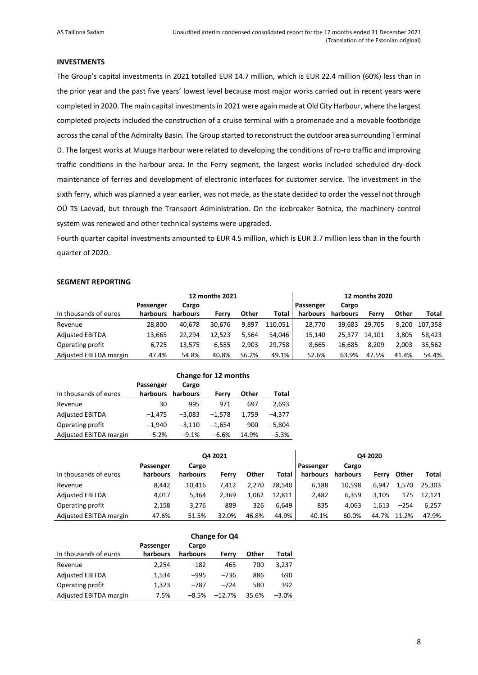#### **INVESTMENTS**

The Group's capital investments in 2021 totalled EUR 14.7 million, which is EUR 22.4 million (60%) less than in the prior year and the past five years' lowest level because most major works carried out in recent years were completed in 2020. The main capital investments in 2021 were again made at Old City Harbour, where the largest completed projects included the construction of a cruise terminal with a promenade and a movable footbridge across the canal of the Admiralty Basin. The Group started to reconstruct the outdoor area surrounding Terminal D. The largest works at Muuga Harbour were related to developing the conditions of ro-ro traffic and improving traffic conditions in the harbour area. In the Ferry segment, the largest works included scheduled dry-dock maintenance of ferries and development of electronic interfaces for customer service. The investment in the sixth ferry, which was planned a year earlier, was not made, as the state decided to order the vessel not through OÜ TS Laevad, but through the Transport Administration. On the icebreaker Botnica, the machinery control system was renewed and other technical systems were upgraded.

Fourth quarter capital investments amounted to EUR 4.5 million, which is EUR 3.7 million less than in the fourth quarter of 2020.

#### **SEGMENT REPORTING**

| 12 months 2021         |           |          |        | 12 months 2020 |         |           |          |        |       |              |
|------------------------|-----------|----------|--------|----------------|---------|-----------|----------|--------|-------|--------------|
|                        | Passenger | Cargo    |        |                |         | Passenger | Cargo    |        |       |              |
| In thousands of euros  | harbours  | harbours | Ferry  | Other          | Total   | harbours  | harbours | Ferry  | Other | <b>Total</b> |
| Revenue                | 28.800    | 40.678   | 30.676 | 9.897          | 110.051 | 28.770    | 39.683   | 29.705 | 9.200 | 107.358      |
| <b>Adjusted EBITDA</b> | 13.665    | 22.294   | 12.523 | 5.564          | 54.046  | 15.140    | 25.377   | 14.101 | 3.805 | 58.423       |
| Operating profit       | 6,725     | 13.575   | 6.555  | 2.903          | 29.758  | 8.665     | 16.685   | 8.209  | 2.003 | 35.562       |
| Adjusted EBITDA margin | 47.4%     | 54.8%    | 40.8%  | 56.2%          | 49.1%   | 52.6%     | 63.9%    | 47.5%  | 41.4% | 54.4%        |

|                        | Change for 12 months |                   |          |       |          |  |  |  |
|------------------------|----------------------|-------------------|----------|-------|----------|--|--|--|
|                        | Passenger            | Cargo             |          |       |          |  |  |  |
| In thousands of euros  |                      | harbours harbours | Ferry    | Other | Total    |  |  |  |
| Revenue                | 30                   | 995               | 971      | 697   | 2,693    |  |  |  |
| <b>Adjusted EBITDA</b> | $-1.475$             | $-3.083$          | $-1.578$ | 1.759 | $-4.377$ |  |  |  |
| Operating profit       | $-1.940$             | $-3.110$          | $-1.654$ | 900   | $-5.804$ |  |  |  |
| Adjusted EBITDA margin | $-5.2%$              | $-9.1%$           | $-6.6%$  | 14.9% | $-5.3%$  |  |  |  |

|                        | Q4 2021   |          |       |       |        |           | Q4 2020  |       |        |              |
|------------------------|-----------|----------|-------|-------|--------|-----------|----------|-------|--------|--------------|
|                        | Passenger | Cargo    |       |       |        | Passenger | Cargo    |       |        |              |
| In thousands of euros  | harbours  | harbours | Ferry | Other | Total  | harbours  | harbours | Ferry | Other  | <b>Total</b> |
| Revenue                | 8.442     | 10.416   | 7.412 | 2.270 | 28.540 | 6,188     | 10.598   | 6.947 | 1.570  | 25.303       |
| <b>Adjusted EBITDA</b> | 4,017     | 5.364    | 2.369 | 1.062 | 12.811 | 2,482     | 6.359    | 3.105 | 175    | 12.121       |
| Operating profit       | 2,158     | 3,276    | 889   | 326   | 6.649  | 835       | 4.063    | 1.613 | $-254$ | 6.257        |
| Adjusted EBITDA margin | 47.6%     | 51.5%    | 32.0% | 46.8% | 44.9%  | 40.1%     | 60.0%    | 44.7% | 11.2%  | 47.9%        |

|                        | Change for Q4 |          |          |       |         |  |  |  |  |
|------------------------|---------------|----------|----------|-------|---------|--|--|--|--|
|                        | Passenger     | Cargo    |          |       |         |  |  |  |  |
| In thousands of euros  | harbours      | harbours | Ferry    | Other | Total   |  |  |  |  |
| Revenue                | 2.254         | $-182$   | 465      | 700   | 3,237   |  |  |  |  |
| <b>Adjusted EBITDA</b> | 1,534         | $-995$   | $-736$   | 886   | 690     |  |  |  |  |
| Operating profit       | 1,323         | $-787$   | $-724$   | 580   | 392     |  |  |  |  |
| Adjusted EBITDA margin | 7.5%          | $-8.5%$  | $-12.7%$ | 35.6% | $-3.0%$ |  |  |  |  |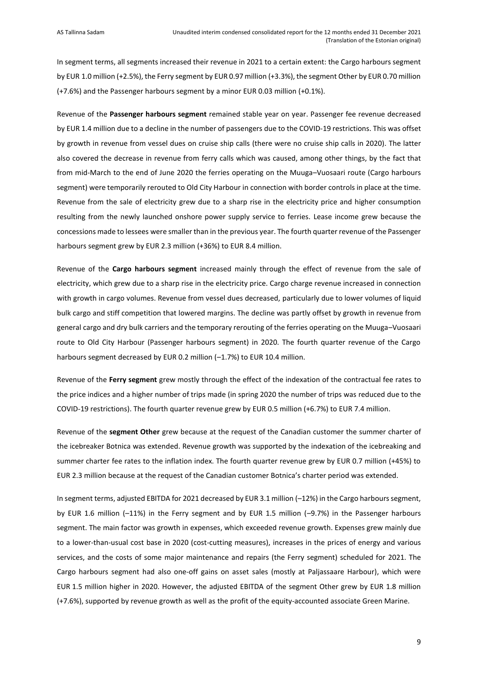In segment terms, all segments increased their revenue in 2021 to a certain extent: the Cargo harbours segment by EUR 1.0 million (+2.5%), the Ferry segment by EUR 0.97 million (+3.3%), the segment Other by EUR 0.70 million (+7.6%) and the Passenger harbours segment by a minor EUR 0.03 million (+0.1%).

Revenue of the **Passenger harbours segment** remained stable year on year. Passenger fee revenue decreased by EUR 1.4 million due to a decline in the number of passengers due to the COVID-19 restrictions. This was offset by growth in revenue from vessel dues on cruise ship calls (there were no cruise ship calls in 2020). The latter also covered the decrease in revenue from ferry calls which was caused, among other things, by the fact that from mid-March to the end of June 2020 the ferries operating on the Muuga–Vuosaari route (Cargo harbours segment) were temporarily rerouted to Old City Harbour in connection with border controls in place at the time. Revenue from the sale of electricity grew due to a sharp rise in the electricity price and higher consumption resulting from the newly launched onshore power supply service to ferries. Lease income grew because the concessions made to lessees were smaller than in the previous year. The fourth quarter revenue of the Passenger harbours segment grew by EUR 2.3 million (+36%) to EUR 8.4 million.

Revenue of the **Cargo harbours segment** increased mainly through the effect of revenue from the sale of electricity, which grew due to a sharp rise in the electricity price. Cargo charge revenue increased in connection with growth in cargo volumes. Revenue from vessel dues decreased, particularly due to lower volumes of liquid bulk cargo and stiff competition that lowered margins. The decline was partly offset by growth in revenue from general cargo and dry bulk carriers and the temporary rerouting of the ferries operating on the Muuga–Vuosaari route to Old City Harbour (Passenger harbours segment) in 2020. The fourth quarter revenue of the Cargo harbours segment decreased by EUR 0.2 million (-1.7%) to EUR 10.4 million.

Revenue of the **Ferry segment** grew mostly through the effect of the indexation of the contractual fee rates to the price indices and a higher number of trips made (in spring 2020 the number of trips was reduced due to the COVID-19 restrictions). The fourth quarter revenue grew by EUR 0.5 million (+6.7%) to EUR 7.4 million.

Revenue of the **segment Other** grew because at the request of the Canadian customer the summer charter of the icebreaker Botnica was extended. Revenue growth was supported by the indexation of the icebreaking and summer charter fee rates to the inflation index. The fourth quarter revenue grew by EUR 0.7 million (+45%) to EUR 2.3 million because at the request of the Canadian customer Botnica's charter period was extended.

In segment terms, adjusted EBITDA for 2021 decreased by EUR 3.1 million (–12%) in the Cargo harbours segment, by EUR 1.6 million (–11%) in the Ferry segment and by EUR 1.5 million (–9.7%) in the Passenger harbours segment. The main factor was growth in expenses, which exceeded revenue growth. Expenses grew mainly due to a lower-than-usual cost base in 2020 (cost-cutting measures), increases in the prices of energy and various services, and the costs of some major maintenance and repairs (the Ferry segment) scheduled for 2021. The Cargo harbours segment had also one-off gains on asset sales (mostly at Paljassaare Harbour), which were EUR 1.5 million higher in 2020. However, the adjusted EBITDA of the segment Other grew by EUR 1.8 million (+7.6%), supported by revenue growth as well as the profit of the equity-accounted associate Green Marine.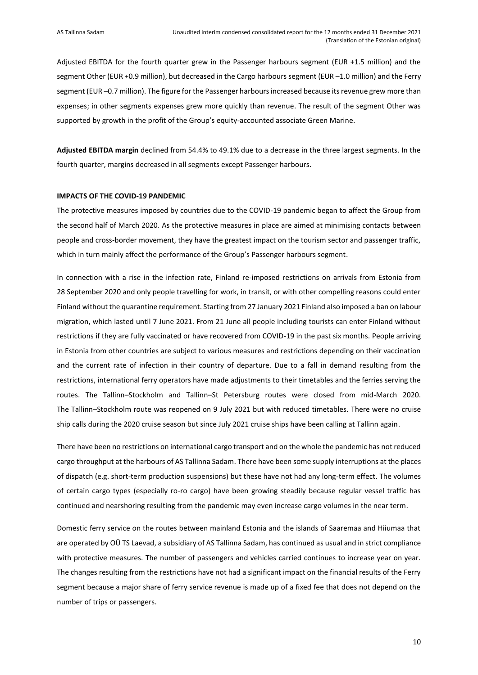Adjusted EBITDA for the fourth quarter grew in the Passenger harbours segment (EUR +1.5 million) and the segment Other (EUR +0.9 million), but decreased in the Cargo harbours segment (EUR –1.0 million) and the Ferry segment (EUR –0.7 million). The figure for the Passenger harbours increased because its revenue grew more than expenses; in other segments expenses grew more quickly than revenue. The result of the segment Other was supported by growth in the profit of the Group's equity-accounted associate Green Marine.

**Adjusted EBITDA margin** declined from 54.4% to 49.1% due to a decrease in the three largest segments. In the fourth quarter, margins decreased in all segments except Passenger harbours.

#### **IMPACTS OF THE COVID-19 PANDEMIC**

The protective measures imposed by countries due to the COVID-19 pandemic began to affect the Group from the second half of March 2020. As the protective measures in place are aimed at minimising contacts between people and cross-border movement, they have the greatest impact on the tourism sector and passenger traffic, which in turn mainly affect the performance of the Group's Passenger harbours segment.

In connection with a rise in the infection rate, Finland re-imposed restrictions on arrivals from Estonia from 28 September 2020 and only people travelling for work, in transit, or with other compelling reasons could enter Finland without the quarantine requirement. Starting from 27 January 2021 Finland also imposed a ban on labour migration, which lasted until 7 June 2021. From 21 June all people including tourists can enter Finland without restrictions if they are fully vaccinated or have recovered from COVID-19 in the past six months. People arriving in Estonia from other countries are subject to various measures and restrictions depending on their vaccination and the current rate of infection in their country of departure. Due to a fall in demand resulting from the restrictions, international ferry operators have made adjustments to their timetables and the ferries serving the routes. The Tallinn–Stockholm and Tallinn–St Petersburg routes were closed from mid-March 2020. The Tallinn–Stockholm route was reopened on 9 July 2021 but with reduced timetables. There were no cruise ship calls during the 2020 cruise season but since July 2021 cruise ships have been calling at Tallinn again.

There have been no restrictions on international cargo transport and on the whole the pandemic has not reduced cargo throughput at the harbours of AS Tallinna Sadam. There have been some supply interruptions at the places of dispatch (e.g. short-term production suspensions) but these have not had any long-term effect. The volumes of certain cargo types (especially ro-ro cargo) have been growing steadily because regular vessel traffic has continued and nearshoring resulting from the pandemic may even increase cargo volumes in the near term.

Domestic ferry service on the routes between mainland Estonia and the islands of Saaremaa and Hiiumaa that are operated by OÜ TS Laevad, a subsidiary of AS Tallinna Sadam, has continued as usual and in strict compliance with protective measures. The number of passengers and vehicles carried continues to increase year on year. The changes resulting from the restrictions have not had a significant impact on the financial results of the Ferry segment because a major share of ferry service revenue is made up of a fixed fee that does not depend on the number of trips or passengers.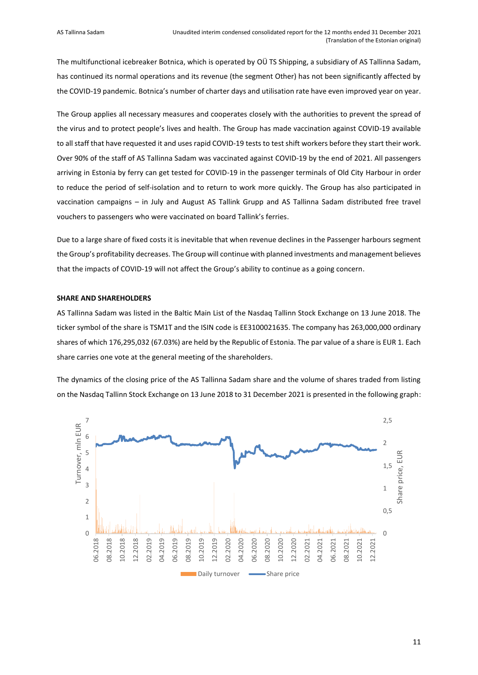The multifunctional icebreaker Botnica, which is operated by OÜ TS Shipping, a subsidiary of AS Tallinna Sadam, has continued its normal operations and its revenue (the segment Other) has not been significantly affected by the COVID-19 pandemic. Botnica's number of charter days and utilisation rate have even improved year on year.

The Group applies all necessary measures and cooperates closely with the authorities to prevent the spread of the virus and to protect people's lives and health. The Group has made vaccination against COVID-19 available to all staff that have requested it and uses rapid COVID-19 tests to test shift workers before they start their work. Over 90% of the staff of AS Tallinna Sadam was vaccinated against COVID-19 by the end of 2021. All passengers arriving in Estonia by ferry can get tested for COVID-19 in the passenger terminals of Old City Harbour in order to reduce the period of self-isolation and to return to work more quickly. The Group has also participated in vaccination campaigns – in July and August AS Tallink Grupp and AS Tallinna Sadam distributed free travel vouchers to passengers who were vaccinated on board Tallink's ferries.

Due to a large share of fixed costs it is inevitable that when revenue declines in the Passenger harbours segment the Group's profitability decreases. The Group will continue with planned investments and management believes that the impacts of COVID-19 will not affect the Group's ability to continue as a going concern.

## **SHARE AND SHAREHOLDERS**

AS Tallinna Sadam was listed in the Baltic Main List of the Nasdaq Tallinn Stock Exchange on 13 June 2018. The ticker symbol of the share is TSM1T and the ISIN code is EE3100021635. The company has 263,000,000 ordinary shares of which 176,295,032 (67.03%) are held by the Republic of Estonia. The par value of a share is EUR 1. Each share carries one vote at the general meeting of the shareholders.

The dynamics of the closing price of the AS Tallinna Sadam share and the volume of shares traded from listing on the Nasdaq Tallinn Stock Exchange on 13 June 2018 to 31 December 2021 is presented in the following graph:

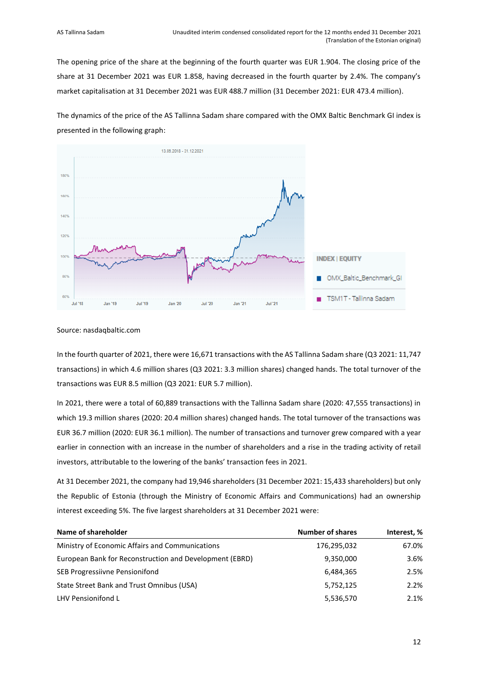The opening price of the share at the beginning of the fourth quarter was EUR 1.904. The closing price of the share at 31 December 2021 was EUR 1.858, having decreased in the fourth quarter by 2.4%. The company's market capitalisation at 31 December 2021 was EUR 488.7 million (31 December 2021: EUR 473.4 million).

The dynamics of the price of the AS Tallinna Sadam share compared with the OMX Baltic Benchmark GI index is presented in the following graph:



#### Source: nasdaqbaltic.com

In the fourth quarter of 2021, there were 16,671 transactions with the AS Tallinna Sadam share (Q3 2021: 11,747 transactions) in which 4.6 million shares (Q3 2021: 3.3 million shares) changed hands. The total turnover of the transactions was EUR 8.5 million (Q3 2021: EUR 5.7 million).

In 2021, there were a total of 60,889 transactions with the Tallinna Sadam share (2020: 47,555 transactions) in which 19.3 million shares (2020: 20.4 million shares) changed hands. The total turnover of the transactions was EUR 36.7 million (2020: EUR 36.1 million). The number of transactions and turnover grew compared with a year earlier in connection with an increase in the number of shareholders and a rise in the trading activity of retail investors, attributable to the lowering of the banks' transaction fees in 2021.

At 31 December 2021, the company had 19,946 shareholders (31 December 2021: 15,433 shareholders) but only the Republic of Estonia (through the Ministry of Economic Affairs and Communications) had an ownership interest exceeding 5%. The five largest shareholders at 31 December 2021 were:

| Name of shareholder                                     | <b>Number of shares</b> | Interest, % |
|---------------------------------------------------------|-------------------------|-------------|
| Ministry of Economic Affairs and Communications         | 176,295,032             | 67.0%       |
| European Bank for Reconstruction and Development (EBRD) | 9,350,000               | 3.6%        |
| SEB Progressiivne Pensionifond                          | 6,484,365               | 2.5%        |
| State Street Bank and Trust Omnibus (USA)               | 5,752,125               | 2.2%        |
| LHV Pensionifond L                                      | 5,536,570               | 2.1%        |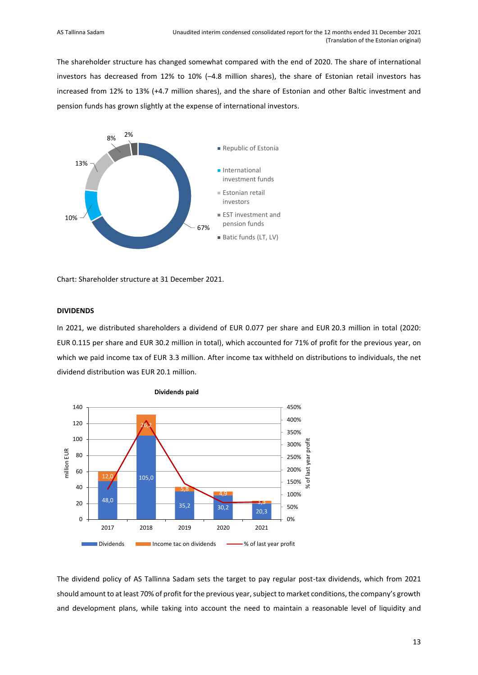The shareholder structure has changed somewhat compared with the end of 2020. The share of international investors has decreased from 12% to 10% (–4.8 million shares), the share of Estonian retail investors has increased from 12% to 13% (+4.7 million shares), and the share of Estonian and other Baltic investment and pension funds has grown slightly at the expense of international investors.



Chart: Shareholder structure at 31 December 2021.

## **DIVIDENDS**

In 2021, we distributed shareholders a dividend of EUR 0.077 per share and EUR 20.3 million in total (2020: EUR 0.115 per share and EUR 30.2 million in total), which accounted for 71% of profit for the previous year, on which we paid income tax of EUR 3.3 million. After income tax withheld on distributions to individuals, the net dividend distribution was EUR 20.1 million.





The dividend policy of AS Tallinna Sadam sets the target to pay regular post-tax dividends, which from 2021 should amount to at least 70% of profit for the previous year, subject to market conditions, the company's growth and development plans, while taking into account the need to maintain a reasonable level of liquidity and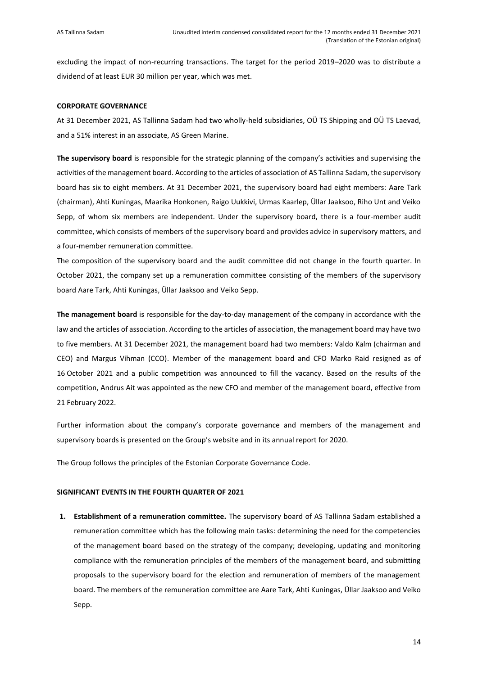excluding the impact of non-recurring transactions. The target for the period 2019–2020 was to distribute a dividend of at least EUR 30 million per year, which was met.

#### **CORPORATE GOVERNANCE**

At 31 December 2021, AS Tallinna Sadam had two wholly-held subsidiaries, OÜ TS Shipping and OÜ TS Laevad, and a 51% interest in an associate, AS Green Marine.

**The supervisory board** is responsible for the strategic planning of the company's activities and supervising the activities of the management board. According to the articles of association of AS Tallinna Sadam, the supervisory board has six to eight members. At 31 December 2021, the supervisory board had eight members: Aare Tark (chairman), Ahti Kuningas, Maarika Honkonen, Raigo Uukkivi, Urmas Kaarlep, Üllar Jaaksoo, Riho Unt and Veiko Sepp, of whom six members are independent. Under the supervisory board, there is a four-member audit committee, which consists of members of the supervisory board and provides advice in supervisory matters, and a four-member remuneration committee.

The composition of the supervisory board and the audit committee did not change in the fourth quarter. In October 2021, the company set up a remuneration committee consisting of the members of the supervisory board Aare Tark, Ahti Kuningas, Üllar Jaaksoo and Veiko Sepp.

**The management board** is responsible for the day-to-day management of the company in accordance with the law and the articles of association. According to the articles of association, the management board may have two to five members. At 31 December 2021, the management board had two members: Valdo Kalm (chairman and CEO) and Margus Vihman (CCO). Member of the management board and CFO Marko Raid resigned as of 16 October 2021 and a public competition was announced to fill the vacancy. Based on the results of the competition, Andrus Ait was appointed as the new CFO and member of the management board, effective from 21 February 2022.

Further information about the company's corporate governance and members of the management and supervisory boards is presented on the Group's website and in its annual report for 2020.

The Group follows the principles of the Estonian Corporate Governance Code.

#### **SIGNIFICANT EVENTS IN THE FOURTH QUARTER OF 2021**

**1. Establishment of a remuneration committee.** The supervisory board of AS Tallinna Sadam established a remuneration committee which has the following main tasks: determining the need for the competencies of the management board based on the strategy of the company; developing, updating and monitoring compliance with the remuneration principles of the members of the management board, and submitting proposals to the supervisory board for the election and remuneration of members of the management board. The members of the remuneration committee are Aare Tark, Ahti Kuningas, Üllar Jaaksoo and Veiko Sepp.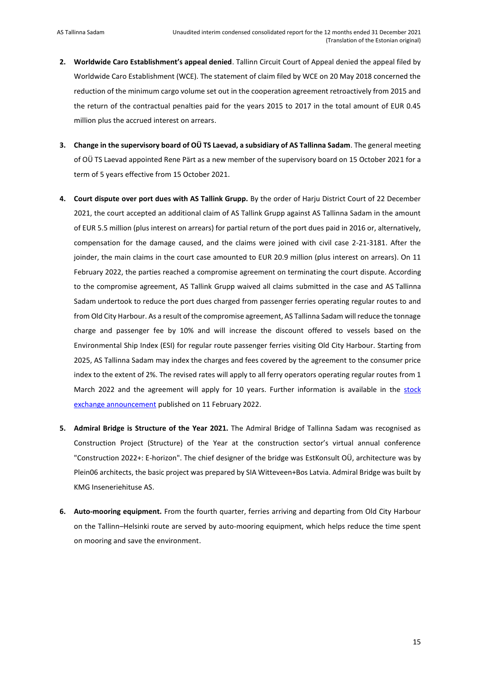- **2. Worldwide Caro Establishment's appeal denied**. Tallinn Circuit Court of Appeal denied the appeal filed by Worldwide Caro Establishment (WCE). The statement of claim filed by WCE on 20 May 2018 concerned the reduction of the minimum cargo volume set out in the cooperation agreement retroactively from 2015 and the return of the contractual penalties paid for the years 2015 to 2017 in the total amount of EUR 0.45 million plus the accrued interest on arrears.
- **3. Change in the supervisory board of OÜ TS Laevad, a subsidiary of AS Tallinna Sadam**. The general meeting of OÜ TS Laevad appointed Rene Pärt as a new member of the supervisory board on 15 October 2021 for a term of 5 years effective from 15 October 2021.
- **4. Court dispute over port dues with AS Tallink Grupp.** By the order of Harju District Court of 22 December 2021, the court accepted an additional claim of AS Tallink Grupp against AS Tallinna Sadam in the amount of EUR 5.5 million (plus interest on arrears) for partial return of the port dues paid in 2016 or, alternatively, compensation for the damage caused, and the claims were joined with civil case 2-21-3181. After the joinder, the main claims in the court case amounted to EUR 20.9 million (plus interest on arrears). On 11 February 2022, the parties reached a compromise agreement on terminating the court dispute. According to the compromise agreement, AS Tallink Grupp waived all claims submitted in the case and AS Tallinna Sadam undertook to reduce the port dues charged from passenger ferries operating regular routes to and from Old City Harbour. As a result of the compromise agreement, AS Tallinna Sadam will reduce the tonnage charge and passenger fee by 10% and will increase the discount offered to vessels based on the Environmental Ship Index (ESI) for regular route passenger ferries visiting Old City Harbour. Starting from 2025, AS Tallinna Sadam may index the charges and fees covered by the agreement to the consumer price index to the extent of 2%. The revised rates will apply to all ferry operators operating regular routes from 1 March 2022 and the agreement will apply for 10 years. Further information is available in the [stock](https://view.news.eu.nasdaq.com/view?id=b50befd92811e7c3e6a0e71383e00b410&lang=en)  [exchange announcement](https://view.news.eu.nasdaq.com/view?id=b50befd92811e7c3e6a0e71383e00b410&lang=en) published on 11 February 2022.
- **5. Admiral Bridge is Structure of the Year 2021.** The Admiral Bridge of Tallinna Sadam was recognised as Construction Project (Structure) of the Year at the construction sector's virtual annual conference "Construction 2022+: E-horizon". The chief designer of the bridge was EstKonsult OÜ, architecture was by Plein06 architects, the basic project was prepared by SIA Witteveen+Bos Latvia. Admiral Bridge was built by KMG Inseneriehituse AS.
- **6. Auto-mooring equipment.** From the fourth quarter, ferries arriving and departing from Old City Harbour on the Tallinn–Helsinki route are served by auto-mooring equipment, which helps reduce the time spent on mooring and save the environment.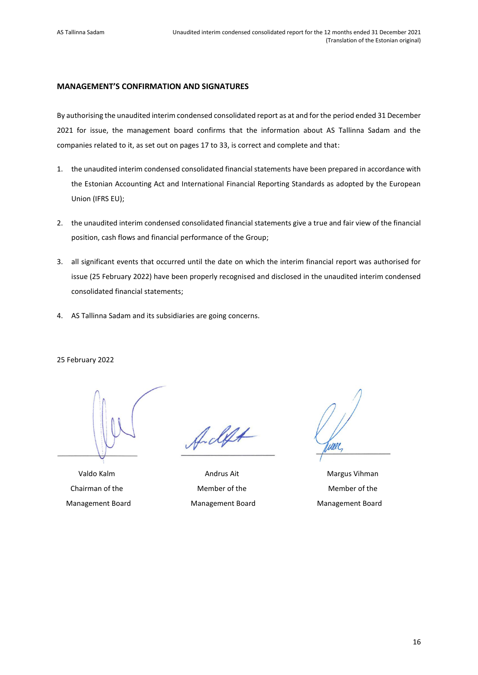## <span id="page-15-0"></span>**MANAGEMENT'S CONFIRMATION AND SIGNATURES**

By authorising the unaudited interim condensed consolidated report as at and for the period ended 31 December 2021 for issue, the management board confirms that the information about AS Tallinna Sadam and the companies related to it, as set out on pages 17 to 33, is correct and complete and that:

- 1. the unaudited interim condensed consolidated financial statements have been prepared in accordance with the Estonian Accounting Act and International Financial Reporting Standards as adopted by the European Union (IFRS EU);
- 2. the unaudited interim condensed consolidated financial statements give a true and fair view of the financial position, cash flows and financial performance of the Group;
- 3. all significant events that occurred until the date on which the interim financial report was authorised for issue (25 February 2022) have been properly recognised and disclosed in the unaudited interim condensed consolidated financial statements;
- 4. AS Tallinna Sadam and its subsidiaries are going concerns.

#### 25 February 2022

Management Board Management Board Management Board

f. deft

Valdo Kalm **Andrus Ait** Andrus Ait Margus Vihman Chairman of the Member of the Member of the

une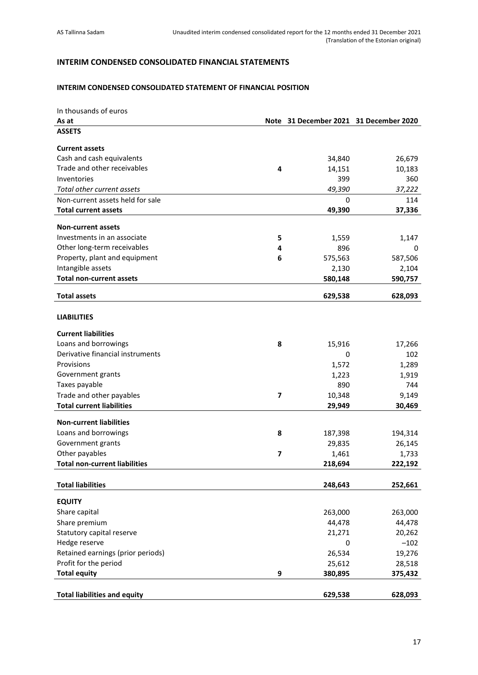## <span id="page-16-0"></span>**INTERIM CONDENSED CONSOLIDATED FINANCIAL STATEMENTS**

## <span id="page-16-1"></span>**INTERIM CONDENSED CONSOLIDATED STATEMENT OF FINANCIAL POSITION**

| In thousands of euros                |   |                                        |         |
|--------------------------------------|---|----------------------------------------|---------|
| As at                                |   | Note 31 December 2021 31 December 2020 |         |
| <b>ASSETS</b>                        |   |                                        |         |
| <b>Current assets</b>                |   |                                        |         |
| Cash and cash equivalents            |   | 34,840                                 | 26,679  |
| Trade and other receivables          | 4 | 14,151                                 | 10,183  |
| Inventories                          |   | 399                                    | 360     |
| Total other current assets           |   | 49,390                                 | 37,222  |
| Non-current assets held for sale     |   | 0                                      | 114     |
| <b>Total current assets</b>          |   | 49,390                                 | 37,336  |
|                                      |   |                                        |         |
| <b>Non-current assets</b>            |   |                                        |         |
| Investments in an associate          | 5 | 1,559                                  | 1,147   |
| Other long-term receivables          | 4 | 896                                    | 0       |
| Property, plant and equipment        | 6 | 575,563                                | 587,506 |
| Intangible assets                    |   | 2,130                                  | 2,104   |
| <b>Total non-current assets</b>      |   | 580,148                                | 590,757 |
| <b>Total assets</b>                  |   | 629,538                                | 628,093 |
| <b>LIABILITIES</b>                   |   |                                        |         |
| <b>Current liabilities</b>           |   |                                        |         |
| Loans and borrowings                 | 8 | 15,916                                 | 17,266  |
| Derivative financial instruments     |   | 0                                      | 102     |
| Provisions                           |   | 1,572                                  | 1,289   |
| Government grants                    |   | 1,223                                  | 1,919   |
| Taxes payable                        |   | 890                                    | 744     |
| Trade and other payables             | 7 | 10,348                                 | 9,149   |
| <b>Total current liabilities</b>     |   | 29,949                                 | 30,469  |
| <b>Non-current liabilities</b>       |   |                                        |         |
| Loans and borrowings                 | 8 | 187,398                                | 194,314 |
| Government grants                    |   | 29,835                                 | 26,145  |
| Other payables                       | 7 | 1,461                                  | 1,733   |
| <b>Total non-current liabilities</b> |   | 218,694                                | 222,192 |
|                                      |   |                                        |         |
| <b>Total liabilities</b>             |   | 248,643                                | 252,661 |
| <b>EQUITY</b>                        |   |                                        |         |
| Share capital                        |   | 263,000                                | 263,000 |
| Share premium                        |   | 44,478                                 | 44,478  |
| Statutory capital reserve            |   | 21,271                                 | 20,262  |
| Hedge reserve                        |   | 0                                      | $-102$  |
| Retained earnings (prior periods)    |   | 26,534                                 | 19,276  |
| Profit for the period                |   | 25,612                                 | 28,518  |
| <b>Total equity</b>                  | 9 | 380,895                                | 375,432 |
|                                      |   |                                        |         |
| <b>Total liabilities and equity</b>  |   | 629,538                                | 628,093 |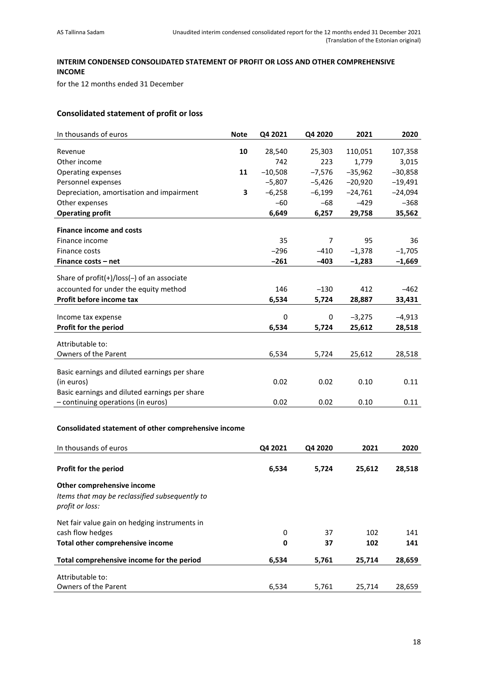## <span id="page-17-0"></span>**INTERIM CONDENSED CONSOLIDATED STATEMENT OF PROFIT OR LOSS AND OTHER COMPREHENSIVE INCOME**

for the 12 months ended 31 December

## **Consolidated statement of profit or loss**

| In thousands of euros                                | <b>Note</b> | Q4 2021   | Q4 2020        | 2021      | 2020      |
|------------------------------------------------------|-------------|-----------|----------------|-----------|-----------|
| Revenue                                              | 10          | 28,540    | 25,303         | 110,051   | 107,358   |
| Other income                                         |             | 742       | 223            | 1,779     | 3,015     |
| Operating expenses                                   | 11          | $-10,508$ | $-7,576$       | $-35,962$ | $-30,858$ |
| Personnel expenses                                   |             | $-5,807$  | $-5,426$       | $-20,920$ | $-19,491$ |
| Depreciation, amortisation and impairment            | 3           | $-6,258$  | $-6,199$       | $-24,761$ | $-24,094$ |
| Other expenses                                       |             | $-60$     | $-68$          | $-429$    | $-368$    |
| <b>Operating profit</b>                              |             | 6,649     | 6,257          | 29,758    | 35,562    |
|                                                      |             |           |                |           |           |
| <b>Finance income and costs</b>                      |             |           |                |           |           |
| Finance income                                       |             | 35        | $\overline{7}$ | 95        | 36        |
| Finance costs                                        |             | $-296$    | $-410$         | $-1,378$  | $-1,705$  |
| Finance costs - net                                  |             | $-261$    | $-403$         | $-1,283$  | $-1,669$  |
|                                                      |             |           |                |           |           |
| Share of profit(+)/loss(-) of an associate           |             |           |                |           |           |
| accounted for under the equity method                |             | 146       | $-130$         | 412       | $-462$    |
| Profit before income tax                             |             | 6,534     | 5,724          | 28,887    | 33,431    |
| Income tax expense                                   |             | 0         | 0              | $-3,275$  | $-4,913$  |
| Profit for the period                                |             | 6,534     | 5,724          | 25,612    | 28,518    |
|                                                      |             |           |                |           |           |
| Attributable to:                                     |             |           |                |           |           |
| Owners of the Parent                                 |             | 6,534     | 5,724          | 25,612    | 28,518    |
|                                                      |             |           |                |           |           |
| Basic earnings and diluted earnings per share        |             |           |                |           |           |
| (in euros)                                           |             | 0.02      | 0.02           | 0.10      | 0.11      |
| Basic earnings and diluted earnings per share        |             |           |                |           |           |
| - continuing operations (in euros)                   |             | 0.02      | 0.02           | 0.10      | 0.11      |
|                                                      |             |           |                |           |           |
| Consolidated statement of other comprehensive income |             |           |                |           |           |
|                                                      |             |           |                |           |           |
| In thousands of euros                                |             | Q4 2021   | Q4 2020        | 2021      | 2020      |
|                                                      |             |           |                |           |           |
| Profit for the period                                |             | 6,534     | 5,724          | 25,612    | 28,518    |
| Other comprehensive income                           |             |           |                |           |           |
| Items that may be reclassified subsequently to       |             |           |                |           |           |
| profit or loss:                                      |             |           |                |           |           |
|                                                      |             |           |                |           |           |
| Net fair value gain on hedging instruments in        |             |           |                |           |           |
| cash flow hedges                                     |             | 0         | 37             | 102       | 141       |
| Total other comprehensive income                     |             | 0         | 37             | 102       | 141       |
| Total comprehensive income for the period            |             | 6,534     | 5,761          | 25,714    | 28,659    |
|                                                      |             |           |                |           |           |
| Attributable to:                                     |             |           |                |           |           |

Owners of the Parent 28,659 and the Parent 28,659 contract to the 10 and 25,761 and 28,659 contract to the 10 and 28,659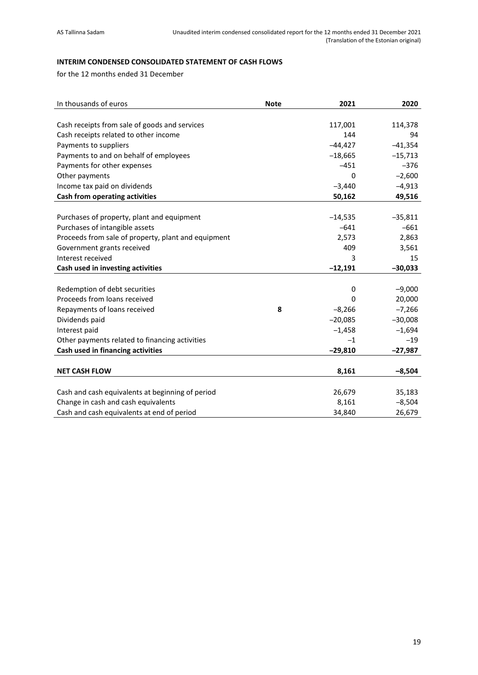## <span id="page-18-0"></span>**INTERIM CONDENSED CONSOLIDATED STATEMENT OF CASH FLOWS**

for the 12 months ended 31 December

| In thousands of euros                               | <b>Note</b> | 2021      | 2020      |
|-----------------------------------------------------|-------------|-----------|-----------|
|                                                     |             |           |           |
| Cash receipts from sale of goods and services       |             | 117,001   | 114,378   |
| Cash receipts related to other income               |             | 144       | 94        |
| Payments to suppliers                               |             | $-44,427$ | $-41,354$ |
| Payments to and on behalf of employees              |             | $-18,665$ | $-15,713$ |
| Payments for other expenses                         |             | $-451$    | $-376$    |
| Other payments                                      |             | 0         | $-2,600$  |
| Income tax paid on dividends                        |             | $-3,440$  | $-4,913$  |
| Cash from operating activities                      |             | 50,162    | 49,516    |
|                                                     |             |           |           |
| Purchases of property, plant and equipment          |             | $-14,535$ | $-35,811$ |
| Purchases of intangible assets                      |             | $-641$    | $-661$    |
| Proceeds from sale of property, plant and equipment |             | 2,573     | 2,863     |
| Government grants received                          |             | 409       | 3,561     |
| Interest received                                   |             | 3         | 15        |
| Cash used in investing activities                   |             | $-12,191$ | $-30,033$ |
|                                                     |             |           |           |
| Redemption of debt securities                       |             | 0         | $-9,000$  |
| Proceeds from loans received                        |             | 0         | 20,000    |
| Repayments of loans received                        | 8           | $-8,266$  | $-7,266$  |
| Dividends paid                                      |             | $-20,085$ | $-30,008$ |
| Interest paid                                       |             | $-1,458$  | $-1,694$  |
| Other payments related to financing activities      |             | $-1$      | $-19$     |
| Cash used in financing activities                   |             | $-29,810$ | $-27,987$ |
|                                                     |             |           |           |
| <b>NET CASH FLOW</b>                                |             | 8,161     | $-8,504$  |
|                                                     |             |           |           |
| Cash and cash equivalents at beginning of period    |             | 26,679    | 35,183    |
| Change in cash and cash equivalents                 |             | 8,161     | $-8,504$  |
| Cash and cash equivalents at end of period          |             | 34,840    | 26,679    |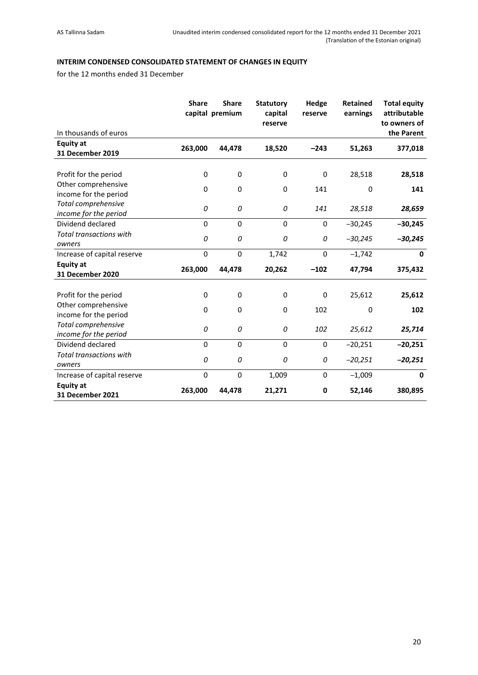## <span id="page-19-0"></span>**INTERIM CONDENSED CONSOLIDATED STATEMENT OF CHANGES IN EQUITY**

for the 12 months ended 31 December

|                                              | <b>Share</b> | <b>Share</b><br>capital premium | <b>Statutory</b><br>capital<br>reserve | Hedge<br>reserve | <b>Retained</b><br>earnings | <b>Total equity</b><br>attributable<br>to owners of |
|----------------------------------------------|--------------|---------------------------------|----------------------------------------|------------------|-----------------------------|-----------------------------------------------------|
| In thousands of euros                        |              |                                 |                                        |                  |                             | the Parent                                          |
| <b>Equity at</b><br><b>31 December 2019</b>  | 263,000      | 44,478                          | 18,520                                 | $-243$           | 51,263                      | 377,018                                             |
| Profit for the period<br>Other comprehensive | 0            | 0                               | 0                                      | 0                | 28,518                      | 28,518                                              |
| income for the period                        | 0            | 0                               | 0                                      | 141              | $\mathbf 0$                 | 141                                                 |
| Total comprehensive<br>income for the period | 0            | 0                               | 0                                      | 141              | 28,518                      | 28,659                                              |
| Dividend declared                            | 0            | $\Omega$                        | $\mathbf 0$                            | 0                | $-30,245$                   | $-30,245$                                           |
| <b>Total transactions with</b><br>owners     | 0            | 0                               | 0                                      | 0                | $-30,245$                   | $-30,245$                                           |
| Increase of capital reserve                  | $\mathbf 0$  | $\mathbf 0$                     | 1,742                                  | 0                | $-1,742$                    | $\mathbf{0}$                                        |
| <b>Equity at</b><br>31 December 2020         | 263,000      | 44,478                          | 20,262                                 | $-102$           | 47,794                      | 375,432                                             |
| Profit for the period                        | $\mathbf 0$  | 0                               | $\mathbf 0$                            | 0                | 25,612                      | 25,612                                              |
| Other comprehensive<br>income for the period | 0            | 0                               | 0                                      | 102              | $\mathbf 0$                 | 102                                                 |
| Total comprehensive<br>income for the period | 0            | 0                               | 0                                      | 102              | 25,612                      | 25,714                                              |
| Dividend declared                            | 0            | $\Omega$                        | $\mathbf 0$                            | 0                | $-20,251$                   | $-20,251$                                           |
| <b>Total transactions with</b><br>owners     | 0            | 0                               | 0                                      | 0                | $-20,251$                   | $-20,251$                                           |
| Increase of capital reserve                  | 0            | 0                               | 1,009                                  | 0                | $-1,009$                    | $\mathbf 0$                                         |
| <b>Equity at</b><br><b>31 December 2021</b>  | 263,000      | 44,478                          | 21,271                                 | 0                | 52,146                      | 380,895                                             |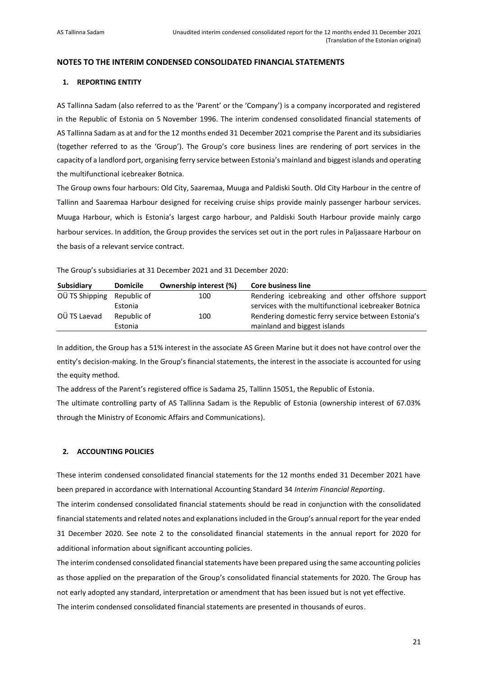## <span id="page-20-0"></span>**NOTES TO THE INTERIM CONDENSED CONSOLIDATED FINANCIAL STATEMENTS**

## <span id="page-20-1"></span>**1. REPORTING ENTITY**

AS Tallinna Sadam (also referred to as the 'Parent' or the 'Company') is a company incorporated and registered in the Republic of Estonia on 5 November 1996. The interim condensed consolidated financial statements of AS Tallinna Sadam as at and for the 12 months ended 31 December 2021 comprise the Parent and its subsidiaries (together referred to as the 'Group'). The Group's core business lines are rendering of port services in the capacity of a landlord port, organising ferry service between Estonia's mainland and biggest islands and operating the multifunctional icebreaker Botnica.

The Group owns four harbours: Old City, Saaremaa, Muuga and Paldiski South. Old City Harbour in the centre of Tallinn and Saaremaa Harbour designed for receiving cruise ships provide mainly passenger harbour services. Muuga Harbour, which is Estonia's largest cargo harbour, and Paldiski South Harbour provide mainly cargo harbour services. In addition, the Group provides the services set out in the port rules in Paljassaare Harbour on the basis of a relevant service contract.

The Group's subsidiaries at 31 December 2021 and 31 December 2020:

| Subsidiary     | <b>Domicile</b> | <b>Ownership interest (%)</b> | <b>Core business line</b>                            |
|----------------|-----------------|-------------------------------|------------------------------------------------------|
| OÜ TS Shipping | Republic of     | 100                           | Rendering icebreaking and other offshore support     |
|                | Estonia         |                               | services with the multifunctional icebreaker Botnica |
| OÜ TS Laevad   | Republic of     | 100                           | Rendering domestic ferry service between Estonia's   |
|                | Estonia         |                               | mainland and biggest islands                         |

In addition, the Group has a 51% interest in the associate AS Green Marine but it does not have control over the entity's decision-making. In the Group's financial statements, the interest in the associate is accounted for using the equity method.

The address of the Parent's registered office is Sadama 25, Tallinn 15051, the Republic of Estonia.

The ultimate controlling party of AS Tallinna Sadam is the Republic of Estonia (ownership interest of 67.03% through the Ministry of Economic Affairs and Communications).

## <span id="page-20-2"></span>**2. ACCOUNTING POLICIES**

These interim condensed consolidated financial statements for the 12 months ended 31 December 2021 have been prepared in accordance with International Accounting Standard 34 *Interim Financial Reporting*.

The interim condensed consolidated financial statements should be read in conjunction with the consolidated financial statements and related notes and explanations included in the Group's annual report for the year ended 31 December 2020. See note 2 to the consolidated financial statements in the annual report for 2020 for additional information about significant accounting policies.

The interim condensed consolidated financial statements have been prepared using the same accounting policies as those applied on the preparation of the Group's consolidated financial statements for 2020. The Group has not early adopted any standard, interpretation or amendment that has been issued but is not yet effective. The interim condensed consolidated financial statements are presented in thousands of euros.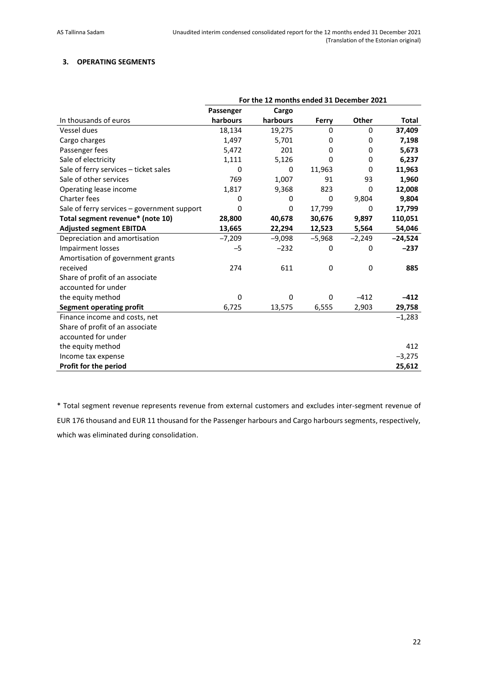## <span id="page-21-0"></span>**3. OPERATING SEGMENTS**

|                                             | For the 12 months ended 31 December 2021 |          |          |          |           |
|---------------------------------------------|------------------------------------------|----------|----------|----------|-----------|
|                                             | Passenger                                | Cargo    |          |          |           |
| In thousands of euros                       | harbours                                 | harbours | Ferry    | Other    | Total     |
| Vessel dues                                 | 18,134                                   | 19,275   | 0        | 0        | 37,409    |
| Cargo charges                               | 1,497                                    | 5,701    | 0        | 0        | 7,198     |
| Passenger fees                              | 5,472                                    | 201      | 0        | 0        | 5,673     |
| Sale of electricity                         | 1,111                                    | 5,126    | 0        | 0        | 6,237     |
| Sale of ferry services - ticket sales       | 0                                        | 0        | 11,963   | 0        | 11,963    |
| Sale of other services                      | 769                                      | 1,007    | 91       | 93       | 1,960     |
| Operating lease income                      | 1,817                                    | 9,368    | 823      | 0        | 12,008    |
| Charter fees                                | 0                                        | 0        | 0        | 9,804    | 9,804     |
| Sale of ferry services – government support | 0                                        | 0        | 17,799   | 0        | 17,799    |
| Total segment revenue* (note 10)            | 28,800                                   | 40,678   | 30,676   | 9,897    | 110,051   |
| <b>Adjusted segment EBITDA</b>              | 13,665                                   | 22,294   | 12,523   | 5,564    | 54,046    |
| Depreciation and amortisation               | $-7,209$                                 | $-9,098$ | $-5,968$ | $-2,249$ | $-24,524$ |
| <b>Impairment losses</b>                    | $-5$                                     | $-232$   | 0        | 0        | $-237$    |
| Amortisation of government grants           |                                          |          |          |          |           |
| received                                    | 274                                      | 611      | 0        | 0        | 885       |
| Share of profit of an associate             |                                          |          |          |          |           |
| accounted for under                         |                                          |          |          |          |           |
| the equity method                           | 0                                        | 0        | 0        | $-412$   | $-412$    |
| <b>Segment operating profit</b>             | 6,725                                    | 13,575   | 6,555    | 2,903    | 29,758    |
| Finance income and costs, net               |                                          |          |          |          | $-1,283$  |
| Share of profit of an associate             |                                          |          |          |          |           |
| accounted for under                         |                                          |          |          |          |           |
| the equity method                           |                                          |          |          |          | 412       |
| Income tax expense                          |                                          |          |          |          | $-3,275$  |
| Profit for the period                       |                                          |          |          |          | 25,612    |

\* Total segment revenue represents revenue from external customers and excludes inter-segment revenue of EUR 176 thousand and EUR 11 thousand for the Passenger harbours and Cargo harbours segments, respectively, which was eliminated during consolidation.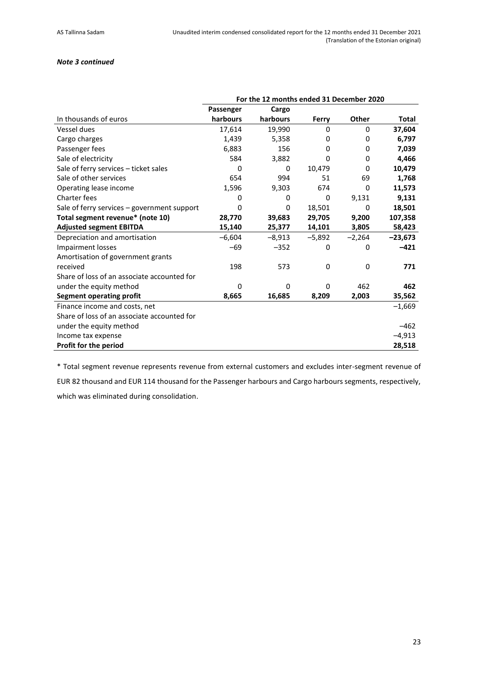## *Note 3 continued*

|                                             | For the 12 months ended 31 December 2020 |          |          |              |              |
|---------------------------------------------|------------------------------------------|----------|----------|--------------|--------------|
|                                             | Passenger                                | Cargo    |          |              |              |
| In thousands of euros                       | harbours                                 | harbours | Ferry    | <b>Other</b> | <b>Total</b> |
| Vessel dues                                 | 17,614                                   | 19,990   | 0        | 0            | 37,604       |
| Cargo charges                               | 1,439                                    | 5,358    | 0        | 0            | 6,797        |
| Passenger fees                              | 6,883                                    | 156      | 0        | 0            | 7,039        |
| Sale of electricity                         | 584                                      | 3,882    | 0        | 0            | 4,466        |
| Sale of ferry services - ticket sales       | 0                                        | 0        | 10,479   | 0            | 10,479       |
| Sale of other services                      | 654                                      | 994      | 51       | 69           | 1,768        |
| Operating lease income                      | 1,596                                    | 9,303    | 674      | 0            | 11,573       |
| Charter fees                                | 0                                        | 0        | 0        | 9,131        | 9,131        |
| Sale of ferry services – government support | 0                                        | 0        | 18,501   | 0            | 18,501       |
| Total segment revenue* (note 10)            | 28,770                                   | 39,683   | 29,705   | 9,200        | 107,358      |
| <b>Adjusted segment EBITDA</b>              | 15,140                                   | 25,377   | 14,101   | 3,805        | 58,423       |
| Depreciation and amortisation               | $-6,604$                                 | $-8,913$ | $-5,892$ | $-2,264$     | $-23,673$    |
| Impairment losses                           | $-69$                                    | $-352$   | 0        | 0            | $-421$       |
| Amortisation of government grants           |                                          |          |          |              |              |
| received                                    | 198                                      | 573      | 0        | 0            | 771          |
| Share of loss of an associate accounted for |                                          |          |          |              |              |
| under the equity method                     | 0                                        | $\Omega$ | 0        | 462          | 462          |
| <b>Segment operating profit</b>             | 8,665                                    | 16,685   | 8,209    | 2,003        | 35,562       |
| Finance income and costs, net               |                                          |          |          |              | $-1,669$     |
| Share of loss of an associate accounted for |                                          |          |          |              |              |
| under the equity method                     |                                          |          |          |              | $-462$       |
| Income tax expense                          |                                          |          |          |              | $-4,913$     |
| Profit for the period                       |                                          |          |          |              | 28,518       |

\* Total segment revenue represents revenue from external customers and excludes inter-segment revenue of

EUR 82 thousand and EUR 114 thousand for the Passenger harbours and Cargo harbours segments, respectively, which was eliminated during consolidation.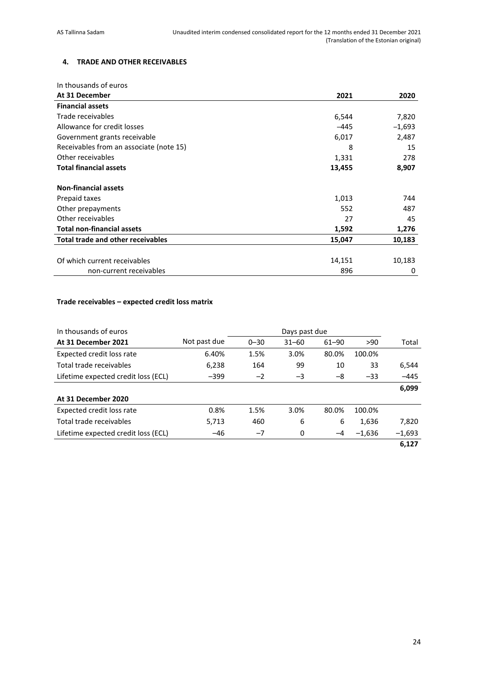## <span id="page-23-0"></span>**4. TRADE AND OTHER RECEIVABLES**

| In thousands of euros                    |        |          |
|------------------------------------------|--------|----------|
| At 31 December                           | 2021   | 2020     |
| <b>Financial assets</b>                  |        |          |
| Trade receivables                        | 6,544  | 7,820    |
| Allowance for credit losses              | $-445$ | $-1,693$ |
| Government grants receivable             | 6,017  | 2,487    |
| Receivables from an associate (note 15)  | 8      | 15       |
| Other receivables                        | 1,331  | 278      |
| <b>Total financial assets</b>            | 13,455 | 8,907    |
| <b>Non-financial assets</b>              |        |          |
| Prepaid taxes                            | 1,013  | 744      |
| Other prepayments                        | 552    | 487      |
| Other receivables                        | 27     | 45       |
| <b>Total non-financial assets</b>        | 1,592  | 1,276    |
| <b>Total trade and other receivables</b> | 15,047 | 10,183   |
|                                          |        |          |
| Of which current receivables             | 14,151 | 10,183   |
| non-current receivables                  | 896    | 0        |

## **Trade receivables – expected credit loss matrix**

| In thousands of euros               |              |          | Days past due |           |          |          |
|-------------------------------------|--------------|----------|---------------|-----------|----------|----------|
| At 31 December 2021                 | Not past due | $0 - 30$ | $31 - 60$     | $61 - 90$ | >90      | Total    |
| Expected credit loss rate           | 6.40%        | 1.5%     | 3.0%          | 80.0%     | 100.0%   |          |
| Total trade receivables             | 6,238        | 164      | 99            | 10        | 33       | 6,544    |
| Lifetime expected credit loss (ECL) | $-399$       | $-2$     | $-3$          | -8        | $-33$    | $-445$   |
|                                     |              |          |               |           |          | 6,099    |
| At 31 December 2020                 |              |          |               |           |          |          |
| Expected credit loss rate           | 0.8%         | 1.5%     | 3.0%          | 80.0%     | 100.0%   |          |
| Total trade receivables             | 5,713        | 460      | 6             | 6         | 1,636    | 7,820    |
| Lifetime expected credit loss (ECL) | $-46$        | $-7$     | 0             | $-4$      | $-1,636$ | $-1,693$ |
|                                     |              |          |               |           |          | 6.127    |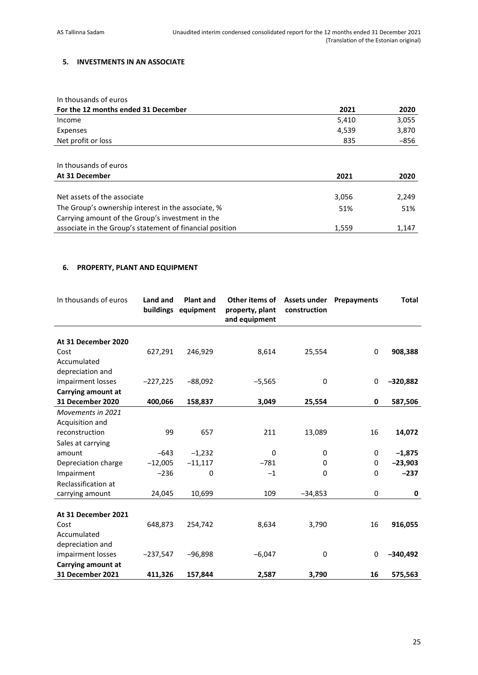## <span id="page-24-0"></span>**5. INVESTMENTS IN AN ASSOCIATE**

| In thousands of euros               |       |        |
|-------------------------------------|-------|--------|
| For the 12 months ended 31 December | 2021  | 2020   |
| Income                              | 5,410 | 3,055  |
| Expenses                            | 4,539 | 3,870  |
| Net profit or loss                  | 835   | $-856$ |
|                                     |       |        |
| In thousands of euros               |       |        |
| At 31 December                      | 2021  | 2020   |
|                                     |       |        |
|                                     |       |        |

| Net assets of the associate                              | 3.056 | 2.249 |
|----------------------------------------------------------|-------|-------|
| The Group's ownership interest in the associate, %       | 51%   | 51%   |
| Carrying amount of the Group's investment in the         |       |       |
| associate in the Group's statement of financial position | 1.559 | 1.147 |
|                                                          |       |       |

## <span id="page-24-1"></span>**6. PROPERTY, PLANT AND EQUIPMENT**

| In thousands of euros   | Land and<br>buildings | <b>Plant and</b><br>equipment | Other items of<br>property, plant<br>and equipment | Assets under<br>construction | Prepayments | <b>Total</b> |
|-------------------------|-----------------------|-------------------------------|----------------------------------------------------|------------------------------|-------------|--------------|
|                         |                       |                               |                                                    |                              |             |              |
| At 31 December 2020     |                       |                               |                                                    |                              |             |              |
| Cost                    | 627,291               | 246,929                       | 8,614                                              | 25,554                       | 0           | 908,388      |
| Accumulated             |                       |                               |                                                    |                              |             |              |
| depreciation and        |                       |                               |                                                    |                              |             |              |
| impairment losses       | $-227,225$            | $-88,092$                     | $-5,565$                                           | 0                            | 0           | $-320,882$   |
| Carrying amount at      |                       |                               |                                                    |                              |             |              |
| 31 December 2020        | 400,066               | 158,837                       | 3,049                                              | 25,554                       | 0           | 587,506      |
| Movements in 2021       |                       |                               |                                                    |                              |             |              |
| Acquisition and         |                       |                               |                                                    |                              |             |              |
| reconstruction          | 99                    | 657                           | 211                                                | 13,089                       | 16          | 14,072       |
| Sales at carrying       |                       |                               |                                                    |                              |             |              |
| amount                  | $-643$                | $-1,232$                      | 0                                                  | 0                            | 0           | $-1,875$     |
| Depreciation charge     | $-12,005$             | $-11,117$                     | $-781$                                             | 0                            | 0           | $-23,903$    |
| Impairment              | $-236$                | 0                             | $-1$                                               | 0                            | $\mathbf 0$ | $-237$       |
| Reclassification at     |                       |                               |                                                    |                              |             |              |
| carrying amount         | 24,045                | 10,699                        | 109                                                | $-34,853$                    | 0           | 0            |
|                         |                       |                               |                                                    |                              |             |              |
| At 31 December 2021     |                       |                               |                                                    |                              |             |              |
| Cost                    | 648,873               | 254,742                       | 8,634                                              | 3,790                        | 16          | 916,055      |
| Accumulated             |                       |                               |                                                    |                              |             |              |
| depreciation and        |                       |                               |                                                    |                              |             |              |
| impairment losses       | $-237,547$            | $-96,898$                     | $-6,047$                                           | 0                            | 0           | $-340,492$   |
| Carrying amount at      |                       |                               |                                                    |                              |             |              |
| <b>31 December 2021</b> | 411,326               | 157,844                       | 2,587                                              | 3,790                        | 16          | 575,563      |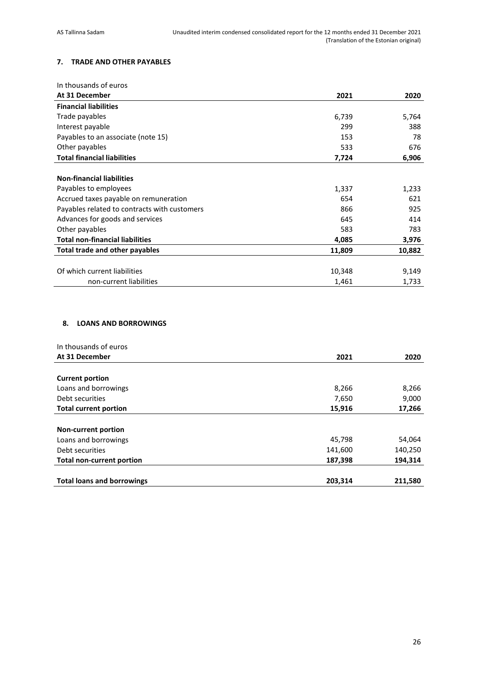## <span id="page-25-0"></span>**7. TRADE AND OTHER PAYABLES**

| In thousands of euros                        |        |        |
|----------------------------------------------|--------|--------|
| At 31 December                               | 2021   | 2020   |
| <b>Financial liabilities</b>                 |        |        |
| Trade payables                               | 6,739  | 5,764  |
| Interest payable                             | 299    | 388    |
| Payables to an associate (note 15)           | 153    | 78     |
| Other payables                               | 533    | 676    |
| <b>Total financial liabilities</b>           | 7,724  | 6,906  |
|                                              |        |        |
| <b>Non-financial liabilities</b>             |        |        |
| Payables to employees                        | 1,337  | 1,233  |
| Accrued taxes payable on remuneration        | 654    | 621    |
| Payables related to contracts with customers | 866    | 925    |
| Advances for goods and services              | 645    | 414    |
| Other payables                               | 583    | 783    |
| <b>Total non-financial liabilities</b>       | 4,085  | 3,976  |
| Total trade and other payables               | 11,809 | 10,882 |
|                                              |        |        |
| Of which current liabilities                 | 10,348 | 9,149  |
| non-current liabilities                      | 1,461  | 1,733  |

## <span id="page-25-1"></span>**8. LOANS AND BORROWINGS**

| In thousands of euros             |         |         |
|-----------------------------------|---------|---------|
| At 31 December                    | 2021    | 2020    |
|                                   |         |         |
| <b>Current portion</b>            |         |         |
| Loans and borrowings              | 8,266   | 8,266   |
| Debt securities                   | 7,650   | 9,000   |
| <b>Total current portion</b>      | 15,916  | 17,266  |
|                                   |         |         |
| <b>Non-current portion</b>        |         |         |
| Loans and borrowings              | 45,798  | 54,064  |
| Debt securities                   | 141,600 | 140,250 |
| <b>Total non-current portion</b>  | 187,398 | 194,314 |
| <b>Total loans and borrowings</b> | 203,314 | 211,580 |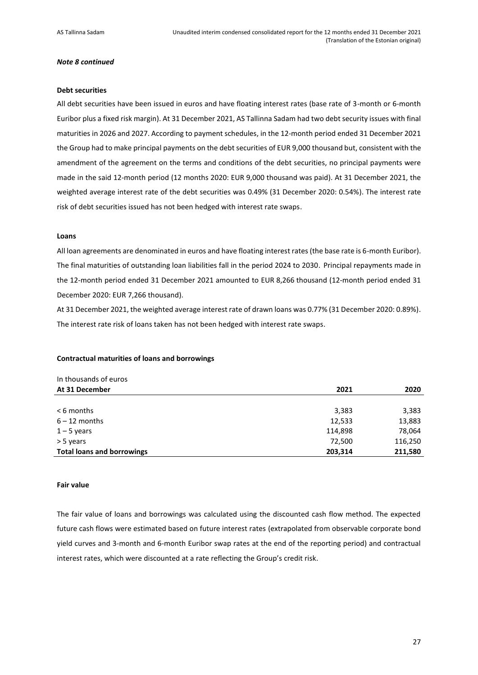#### *Note 8 continued*

#### **Debt securities**

All debt securities have been issued in euros and have floating interest rates (base rate of 3-month or 6-month Euribor plus a fixed risk margin). At 31 December 2021, AS Tallinna Sadam had two debt security issues with final maturities in 2026 and 2027. According to payment schedules, in the 12-month period ended 31 December 2021 the Group had to make principal payments on the debt securities of EUR 9,000 thousand but, consistent with the amendment of the agreement on the terms and conditions of the debt securities, no principal payments were made in the said 12-month period (12 months 2020: EUR 9,000 thousand was paid). At 31 December 2021, the weighted average interest rate of the debt securities was 0.49% (31 December 2020: 0.54%). The interest rate risk of debt securities issued has not been hedged with interest rate swaps.

#### **Loans**

All loan agreements are denominated in euros and have floating interest rates (the base rate is 6-month Euribor). The final maturities of outstanding loan liabilities fall in the period 2024 to 2030. Principal repayments made in the 12-month period ended 31 December 2021 amounted to EUR 8,266 thousand (12-month period ended 31 December 2020: EUR 7,266 thousand).

At 31 December 2021, the weighted average interest rate of drawn loans was 0.77% (31 December 2020: 0.89%). The interest rate risk of loans taken has not been hedged with interest rate swaps.

#### **Contractual maturities of loans and borrowings**

| In thousands of euros             |         |         |
|-----------------------------------|---------|---------|
| At 31 December                    | 2021    | 2020    |
|                                   |         |         |
| $< 6$ months                      | 3,383   | 3,383   |
| $6 - 12$ months                   | 12,533  | 13,883  |
| $1 - 5$ years                     | 114,898 | 78,064  |
| > 5 years                         | 72,500  | 116,250 |
| <b>Total loans and borrowings</b> | 203,314 | 211,580 |

#### **Fair value**

The fair value of loans and borrowings was calculated using the discounted cash flow method. The expected future cash flows were estimated based on future interest rates (extrapolated from observable corporate bond yield curves and 3-month and 6-month Euribor swap rates at the end of the reporting period) and contractual interest rates, which were discounted at a rate reflecting the Group's credit risk.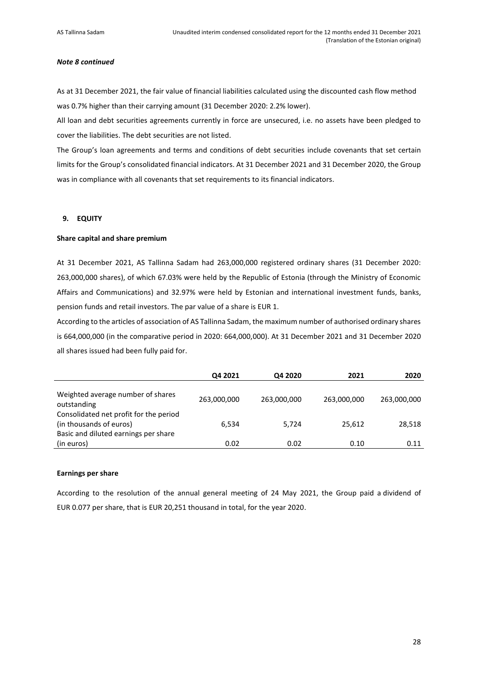#### *Note 8 continued*

As at 31 December 2021, the fair value of financial liabilities calculated using the discounted cash flow method was 0.7% higher than their carrying amount (31 December 2020: 2.2% lower).

All loan and debt securities agreements currently in force are unsecured, i.e. no assets have been pledged to cover the liabilities. The debt securities are not listed.

The Group's loan agreements and terms and conditions of debt securities include covenants that set certain limits for the Group's consolidated financial indicators. At 31 December 2021 and 31 December 2020, the Group was in compliance with all covenants that set requirements to its financial indicators.

## <span id="page-27-0"></span>**9. EQUITY**

## **Share capital and share premium**

At 31 December 2021, AS Tallinna Sadam had 263,000,000 registered ordinary shares (31 December 2020: 263,000,000 shares), of which 67.03% were held by the Republic of Estonia (through the Ministry of Economic Affairs and Communications) and 32.97% were held by Estonian and international investment funds, banks, pension funds and retail investors. The par value of a share is EUR 1.

According to the articles of association of AS Tallinna Sadam, the maximum number of authorised ordinary shares is 664,000,000 (in the comparative period in 2020: 664,000,000). At 31 December 2021 and 31 December 2020 all shares issued had been fully paid for.

|                                                                                                           | Q4 2021     | Q4 2020     | 2021        | 2020        |
|-----------------------------------------------------------------------------------------------------------|-------------|-------------|-------------|-------------|
| Weighted average number of shares<br>outstanding                                                          | 263,000,000 | 263,000,000 | 263,000,000 | 263,000,000 |
| Consolidated net profit for the period<br>(in thousands of euros)<br>Basic and diluted earnings per share | 6,534       | 5.724       | 25,612      | 28,518      |
| (in euros)                                                                                                | 0.02        | 0.02        | 0.10        | 0.11        |

#### **Earnings per share**

According to the resolution of the annual general meeting of 24 May 2021, the Group paid a dividend of EUR 0.077 per share, that is EUR 20,251 thousand in total, for the year 2020.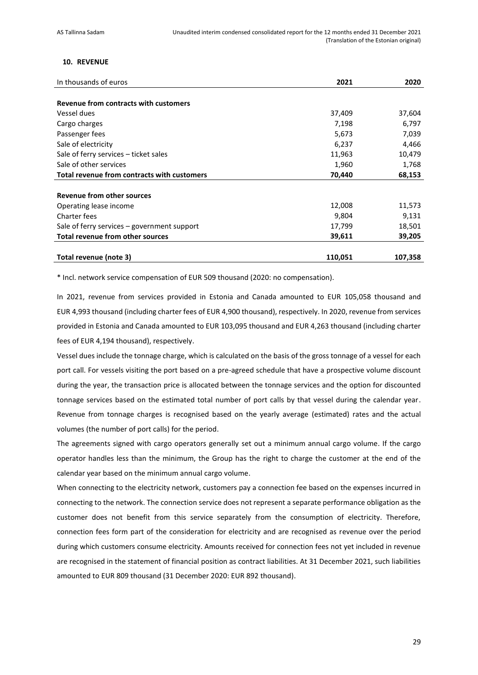## <span id="page-28-0"></span>**10. REVENUE**

| In thousands of euros                       | 2021    | 2020    |
|---------------------------------------------|---------|---------|
|                                             |         |         |
| Revenue from contracts with customers       |         |         |
| Vessel dues                                 | 37,409  | 37,604  |
| Cargo charges                               | 7,198   | 6,797   |
| Passenger fees                              | 5,673   | 7,039   |
| Sale of electricity                         | 6,237   | 4,466   |
| Sale of ferry services - ticket sales       | 11,963  | 10,479  |
| Sale of other services                      | 1,960   | 1,768   |
| Total revenue from contracts with customers | 70,440  | 68,153  |
|                                             |         |         |
| <b>Revenue from other sources</b>           |         |         |
| Operating lease income                      | 12,008  | 11,573  |
| Charter fees                                | 9,804   | 9,131   |
| Sale of ferry services – government support | 17,799  | 18,501  |
| <b>Total revenue from other sources</b>     | 39,611  | 39,205  |
| Total revenue (note 3)                      | 110,051 | 107,358 |

\* Incl. network service compensation of EUR 509 thousand (2020: no compensation).

In 2021, revenue from services provided in Estonia and Canada amounted to EUR 105,058 thousand and EUR 4,993 thousand (including charter fees of EUR 4,900 thousand), respectively. In 2020, revenue from services provided in Estonia and Canada amounted to EUR 103,095 thousand and EUR 4,263 thousand (including charter fees of EUR 4,194 thousand), respectively.

Vessel dues include the tonnage charge, which is calculated on the basis of the gross tonnage of a vessel for each port call. For vessels visiting the port based on a pre-agreed schedule that have a prospective volume discount during the year, the transaction price is allocated between the tonnage services and the option for discounted tonnage services based on the estimated total number of port calls by that vessel during the calendar year. Revenue from tonnage charges is recognised based on the yearly average (estimated) rates and the actual volumes (the number of port calls) for the period.

The agreements signed with cargo operators generally set out a minimum annual cargo volume. If the cargo operator handles less than the minimum, the Group has the right to charge the customer at the end of the calendar year based on the minimum annual cargo volume.

When connecting to the electricity network, customers pay a connection fee based on the expenses incurred in connecting to the network. The connection service does not represent a separate performance obligation as the customer does not benefit from this service separately from the consumption of electricity. Therefore, connection fees form part of the consideration for electricity and are recognised as revenue over the period during which customers consume electricity. Amounts received for connection fees not yet included in revenue are recognised in the statement of financial position as contract liabilities. At 31 December 2021, such liabilities amounted to EUR 809 thousand (31 December 2020: EUR 892 thousand).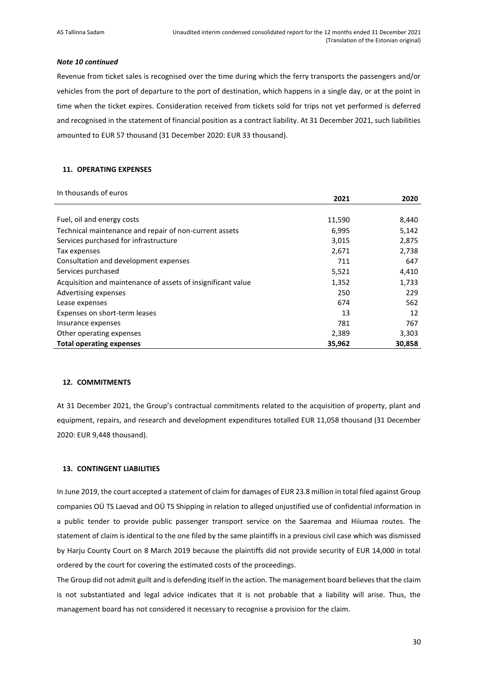## *Note 10 continued*

Revenue from ticket sales is recognised over the time during which the ferry transports the passengers and/or vehicles from the port of departure to the port of destination, which happens in a single day, or at the point in time when the ticket expires. Consideration received from tickets sold for trips not yet performed is deferred and recognised in the statement of financial position as a contract liability. At 31 December 2021, such liabilities amounted to EUR 57 thousand (31 December 2020: EUR 33 thousand).

## <span id="page-29-0"></span>**11. OPERATING EXPENSES**

| In thousands of euros |  |
|-----------------------|--|
|                       |  |

|                                                              | 2021   | 2020   |
|--------------------------------------------------------------|--------|--------|
|                                                              |        |        |
| Fuel, oil and energy costs                                   | 11,590 | 8,440  |
| Technical maintenance and repair of non-current assets       | 6,995  | 5,142  |
| Services purchased for infrastructure                        | 3,015  | 2,875  |
| Tax expenses                                                 | 2,671  | 2,738  |
| Consultation and development expenses                        | 711    | 647    |
| Services purchased                                           | 5,521  | 4,410  |
| Acquisition and maintenance of assets of insignificant value | 1,352  | 1,733  |
| Advertising expenses                                         | 250    | 229    |
| Lease expenses                                               | 674    | 562    |
| Expenses on short-term leases                                | 13     | 12     |
| Insurance expenses                                           | 781    | 767    |
| Other operating expenses                                     | 2,389  | 3,303  |
| <b>Total operating expenses</b>                              | 35,962 | 30,858 |

## <span id="page-29-1"></span>**12. COMMITMENTS**

At 31 December 2021, the Group's contractual commitments related to the acquisition of property, plant and equipment, repairs, and research and development expenditures totalled EUR 11,058 thousand (31 December 2020: EUR 9,448 thousand).

## <span id="page-29-2"></span>**13. CONTINGENT LIABILITIES**

In June 2019, the court accepted a statement of claim for damages of EUR 23.8 million in total filed against Group companies OÜ TS Laevad and OÜ TS Shipping in relation to alleged unjustified use of confidential information in a public tender to provide public passenger transport service on the Saaremaa and Hiiumaa routes. The statement of claim is identical to the one filed by the same plaintiffs in a previous civil case which was dismissed by Harju County Court on 8 March 2019 because the plaintiffs did not provide security of EUR 14,000 in total ordered by the court for covering the estimated costs of the proceedings.

The Group did not admit guilt and is defending itself in the action. The management board believes that the claim is not substantiated and legal advice indicates that it is not probable that a liability will arise. Thus, the management board has not considered it necessary to recognise a provision for the claim.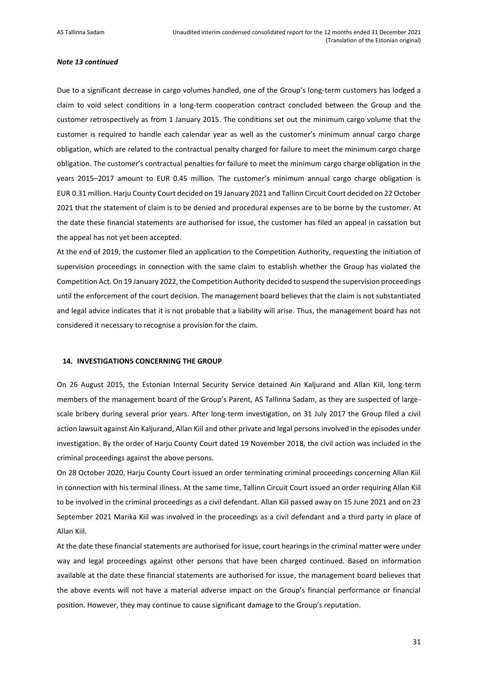#### *Note 13 continued*

Due to a significant decrease in cargo volumes handled, one of the Group's long-term customers has lodged a claim to void select conditions in a long-term cooperation contract concluded between the Group and the customer retrospectively as from 1 January 2015. The conditions set out the minimum cargo volume that the customer is required to handle each calendar year as well as the customer's minimum annual cargo charge obligation, which are related to the contractual penalty charged for failure to meet the minimum cargo charge obligation. The customer's contractual penalties for failure to meet the minimum cargo charge obligation in the years 2015–2017 amount to EUR 0.45 million. The customer's minimum annual cargo charge obligation is EUR 0.31 million. Harju County Court decided on 19 January 2021 and Tallinn Circuit Court decided on 22 October 2021 that the statement of claim is to be denied and procedural expenses are to be borne by the customer. At the date these financial statements are authorised for issue, the customer has filed an appeal in cassation but the appeal has not yet been accepted.

At the end of 2019, the customer filed an application to the Competition Authority, requesting the initiation of supervision proceedings in connection with the same claim to establish whether the Group has violated the Competition Act. On 19 January 2022, the Competition Authority decided to suspend the supervision proceedings until the enforcement of the court decision. The management board believes that the claim is not substantiated and legal advice indicates that it is not probable that a liability will arise. Thus, the management board has not considered it necessary to recognise a provision for the claim.

#### <span id="page-30-0"></span>**14. INVESTIGATIONS CONCERNING THE GROUP**

On 26 August 2015, the Estonian Internal Security Service detained Ain Kaljurand and Allan Kiil, long-term members of the management board of the Group's Parent, AS Tallinna Sadam, as they are suspected of largescale bribery during several prior years. After long-term investigation, on 31 July 2017 the Group filed a civil action lawsuit against Ain Kaljurand, Allan Kiil and other private and legal persons involved in the episodes under investigation. By the order of Harju County Court dated 19 November 2018, the civil action was included in the criminal proceedings against the above persons.

On 28 October 2020, Harju County Court issued an order terminating criminal proceedings concerning Allan Kiil in connection with his terminal illness. At the same time, Tallinn Circuit Court issued an order requiring Allan Kiil to be involved in the criminal proceedings as a civil defendant. Allan Kiil passed away on 15 June 2021 and on 23 September 2021 Marika Kiil was involved in the proceedings as a civil defendant and a third party in place of Allan Kiil.

At the date these financial statements are authorised for issue, court hearings in the criminal matter were under way and legal proceedings against other persons that have been charged continued. Based on information available at the date these financial statements are authorised for issue, the management board believes that the above events will not have a material adverse impact on the Group's financial performance or financial position. However, they may continue to cause significant damage to the Group's reputation.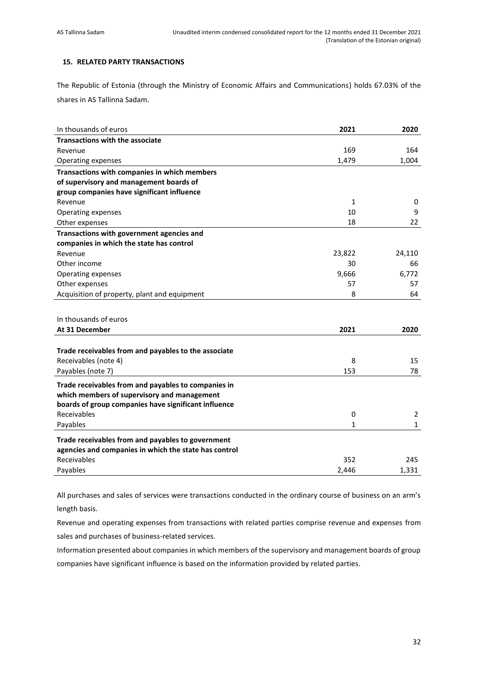## <span id="page-31-0"></span>**15. RELATED PARTY TRANSACTIONS**

The Republic of Estonia (through the Ministry of Economic Affairs and Communications) holds 67.03% of the shares in AS Tallinna Sadam.

| In thousands of euros                                 | 2021   | 2020         |
|-------------------------------------------------------|--------|--------------|
| <b>Transactions with the associate</b>                |        |              |
| Revenue                                               | 169    | 164          |
| Operating expenses                                    | 1,479  | 1,004        |
| Transactions with companies in which members          |        |              |
| of supervisory and management boards of               |        |              |
| group companies have significant influence            |        |              |
| Revenue                                               | 1      | 0            |
| Operating expenses                                    | 10     | 9            |
| Other expenses                                        | 18     | 22           |
| Transactions with government agencies and             |        |              |
| companies in which the state has control              |        |              |
| Revenue                                               | 23,822 | 24,110       |
| Other income                                          | 30     | 66           |
| Operating expenses                                    | 9,666  | 6,772        |
| Other expenses                                        | 57     | 57           |
| Acquisition of property, plant and equipment          | 8      | 64           |
|                                                       |        |              |
| In thousands of euros                                 |        |              |
| At 31 December                                        | 2021   | 2020         |
|                                                       |        |              |
| Trade receivables from and payables to the associate  |        |              |
| Receivables (note 4)                                  | 8      | 15           |
| Payables (note 7)                                     | 153    | 78           |
| Trade receivables from and payables to companies in   |        |              |
| which members of supervisory and management           |        |              |
| boards of group companies have significant influence  |        |              |
| Receivables                                           | 0      | 2            |
| Payables                                              | 1      | $\mathbf{1}$ |
|                                                       |        |              |
| Trade receivables from and payables to government     |        |              |
| agencies and companies in which the state has control |        |              |
| Receivables                                           | 352    | 245          |
| Payables                                              | 2,446  | 1,331        |

All purchases and sales of services were transactions conducted in the ordinary course of business on an arm's length basis.

Revenue and operating expenses from transactions with related parties comprise revenue and expenses from sales and purchases of business-related services.

Information presented about companies in which members of the supervisory and management boards of group companies have significant influence is based on the information provided by related parties.